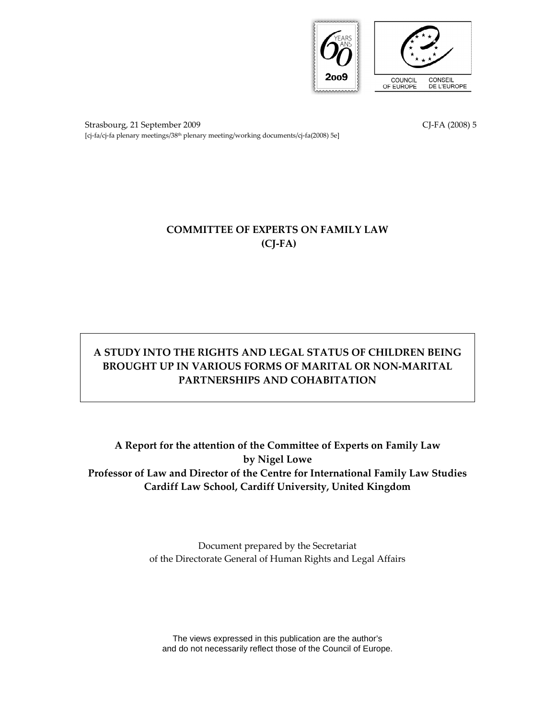

Strasbourg, 21 September 2009 CJ-FA (2008) 5 [cj-fa/cj-fa plenary meetings/38th plenary meeting/working documents/cj-fa(2008) 5e]

# COMMITTEE OF EXPERTS ON FAMILY LAW (CJ-FA)

# A STUDY INTO THE RIGHTS AND LEGAL STATUS OF CHILDREN BEING BROUGHT UP IN VARIOUS FORMS OF MARITAL OR NON-MARITAL PARTNERSHIPS AND COHABITATION

A Report for the attention of the Committee of Experts on Family Law by Nigel Lowe Professor of Law and Director of the Centre for International Family Law Studies Cardiff Law School, Cardiff University, United Kingdom

> Document prepared by the Secretariat of the Directorate General of Human Rights and Legal Affairs

The views expressed in this publication are the author's and do not necessarily reflect those of the Council of Europe.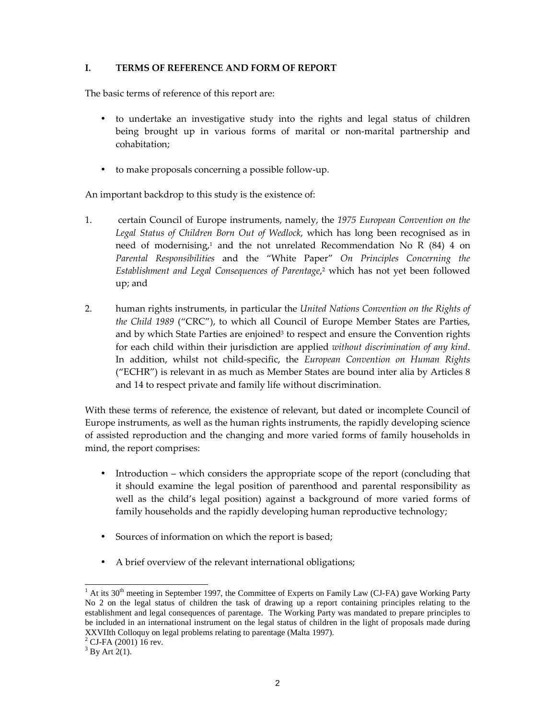## I. TERMS OF REFERENCE AND FORM OF REPORT

The basic terms of reference of this report are:

- to undertake an investigative study into the rights and legal status of children being brought up in various forms of marital or non-marital partnership and cohabitation;
- to make proposals concerning a possible follow-up.

An important backdrop to this study is the existence of:

- 1. certain Council of Europe instruments, namely, the 1975 European Convention on the Legal Status of Children Born Out of Wedlock, which has long been recognised as in need of modernising,<sup>1</sup> and the not unrelated Recommendation No R  $(84)$  4 on Parental Responsibilities and the "White Paper" On Principles Concerning the Establishment and Legal Consequences of Parentage, 2 which has not yet been followed up; and
- 2. human rights instruments, in particular the *United Nations Convention on the Rights of* the Child 1989 ("CRC"), to which all Council of Europe Member States are Parties, and by which State Parties are enjoined<sup>3</sup> to respect and ensure the Convention rights for each child within their jurisdiction are applied without discrimination of any kind. In addition, whilst not child-specific, the European Convention on Human Rights ("ECHR") is relevant in as much as Member States are bound inter alia by Articles 8 and 14 to respect private and family life without discrimination.

With these terms of reference, the existence of relevant, but dated or incomplete Council of Europe instruments, as well as the human rights instruments, the rapidly developing science of assisted reproduction and the changing and more varied forms of family households in mind, the report comprises:

- Introduction which considers the appropriate scope of the report (concluding that it should examine the legal position of parenthood and parental responsibility as well as the child's legal position) against a background of more varied forms of family households and the rapidly developing human reproductive technology;
- Sources of information on which the report is based;
- A brief overview of the relevant international obligations;

 $\frac{1}{1}$  At its 30<sup>th</sup> meeting in September 1997, the Committee of Experts on Family Law (CJ-FA) gave Working Party No 2 on the legal status of children the task of drawing up a report containing principles relating to the establishment and legal consequences of parentage. The Working Party was mandated to prepare principles to be included in an international instrument on the legal status of children in the light of proposals made during XXVIIth Colloquy on legal problems relating to parentage (Malta 1997).

<sup>2</sup> CJ-FA (2001) 16 rev.

 $3$  By Art 2(1).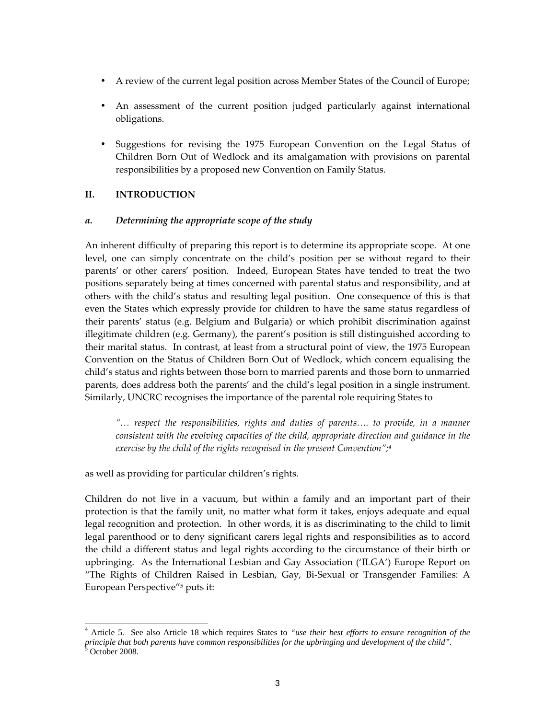- A review of the current legal position across Member States of the Council of Europe;
- An assessment of the current position judged particularly against international obligations.
- Suggestions for revising the 1975 European Convention on the Legal Status of Children Born Out of Wedlock and its amalgamation with provisions on parental responsibilities by a proposed new Convention on Family Status.

## II. INTRODUCTION

### a. Determining the appropriate scope of the study

An inherent difficulty of preparing this report is to determine its appropriate scope. At one level, one can simply concentrate on the child's position per se without regard to their parents' or other carers' position. Indeed, European States have tended to treat the two positions separately being at times concerned with parental status and responsibility, and at others with the child's status and resulting legal position. One consequence of this is that even the States which expressly provide for children to have the same status regardless of their parents' status (e.g. Belgium and Bulgaria) or which prohibit discrimination against illegitimate children (e.g. Germany), the parent's position is still distinguished according to their marital status. In contrast, at least from a structural point of view, the 1975 European Convention on the Status of Children Born Out of Wedlock, which concern equalising the child's status and rights between those born to married parents and those born to unmarried parents, does address both the parents' and the child's legal position in a single instrument. Similarly, UNCRC recognises the importance of the parental role requiring States to

"… respect the responsibilities, rights and duties of parents…. to provide, in a manner consistent with the evolving capacities of the child, appropriate direction and guidance in the exercise by the child of the rights recognised in the present Convention";<sup>4</sup>

as well as providing for particular children's rights.

-

Children do not live in a vacuum, but within a family and an important part of their protection is that the family unit, no matter what form it takes, enjoys adequate and equal legal recognition and protection. In other words, it is as discriminating to the child to limit legal parenthood or to deny significant carers legal rights and responsibilities as to accord the child a different status and legal rights according to the circumstance of their birth or upbringing. As the International Lesbian and Gay Association ('ILGA') Europe Report on "The Rights of Children Raised in Lesbian, Gay, Bi-Sexual or Transgender Families: A European Perspective"<sup>5</sup> puts it:

<sup>4</sup> Article 5. See also Article 18 which requires States to *"use their best efforts to ensure recognition of the principle that both parents have common responsibilities for the upbringing and development of the child".* 5 October 2008.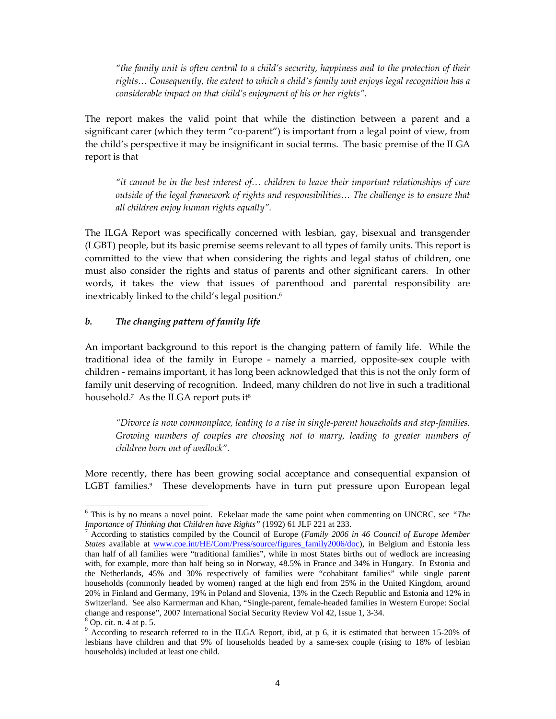"the family unit is often central to a child's security, happiness and to the protection of their rights… Consequently, the extent to which a child's family unit enjoys legal recognition has a considerable impact on that child's enjoyment of his or her rights".

The report makes the valid point that while the distinction between a parent and a significant carer (which they term "co-parent") is important from a legal point of view, from the child's perspective it may be insignificant in social terms. The basic premise of the ILGA report is that

"it cannot be in the best interest of… children to leave their important relationships of care outside of the legal framework of rights and responsibilities… The challenge is to ensure that all children enjoy human rights equally".

The ILGA Report was specifically concerned with lesbian, gay, bisexual and transgender (LGBT) people, but its basic premise seems relevant to all types of family units. This report is committed to the view that when considering the rights and legal status of children, one must also consider the rights and status of parents and other significant carers. In other words, it takes the view that issues of parenthood and parental responsibility are inextricably linked to the child's legal position.<sup>6</sup>

#### b. The changing pattern of family life

An important background to this report is the changing pattern of family life. While the traditional idea of the family in Europe - namely a married, opposite-sex couple with children - remains important, it has long been acknowledged that this is not the only form of family unit deserving of recognition. Indeed, many children do not live in such a traditional household.<sup>7</sup> As the ILGA report puts it<sup>s</sup>

"Divorce is now commonplace, leading to a rise in single-parent households and step-families. Growing numbers of couples are choosing not to marry, leading to greater numbers of children born out of wedlock".

More recently, there has been growing social acceptance and consequential expansion of LGBT families.<sup>9</sup> These developments have in turn put pressure upon European legal

<sup>6</sup> This is by no means a novel point. Eekelaar made the same point when commenting on UNCRC, see *"The Importance of Thinking that Children have Rights"* (1992) 61 JLF 221 at 233.

<sup>7</sup> According to statistics compiled by the Council of Europe (*Family 2006 in 46 Council of Europe Member States* available at www.coe.int/HE/Com/Press/source/figures\_family2006/doc), in Belgium and Estonia less than half of all families were "traditional families", while in most States births out of wedlock are increasing with, for example, more than half being so in Norway, 48.5% in France and 34% in Hungary. In Estonia and the Netherlands, 45% and 30% respectively of families were "cohabitant families" while single parent households (commonly headed by women) ranged at the high end from 25% in the United Kingdom, around 20% in Finland and Germany, 19% in Poland and Slovenia, 13% in the Czech Republic and Estonia and 12% in Switzerland. See also Karmerman and Khan, "Single-parent, female-headed families in Western Europe: Social change and response", 2007 International Social Security Review Vol 42, Issue 1, 3-34.

<sup>8</sup> Op. cit. n. 4 at p. 5.

<sup>&</sup>lt;sup>9</sup> According to research referred to in the ILGA Report, ibid, at p 6, it is estimated that between 15-20% of lesbians have children and that 9% of households headed by a same-sex couple (rising to 18% of lesbian households) included at least one child.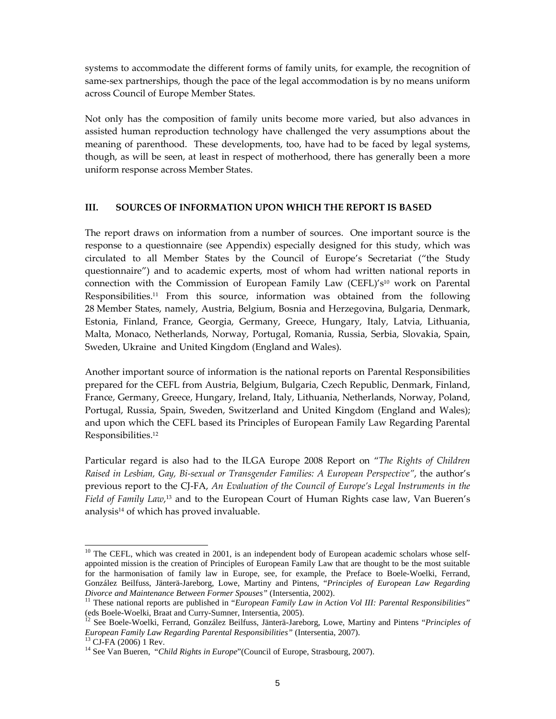systems to accommodate the different forms of family units, for example, the recognition of same-sex partnerships, though the pace of the legal accommodation is by no means uniform across Council of Europe Member States.

Not only has the composition of family units become more varied, but also advances in assisted human reproduction technology have challenged the very assumptions about the meaning of parenthood. These developments, too, have had to be faced by legal systems, though, as will be seen, at least in respect of motherhood, there has generally been a more uniform response across Member States.

#### III. SOURCES OF INFORMATION UPON WHICH THE REPORT IS BASED

The report draws on information from a number of sources. One important source is the response to a questionnaire (see Appendix) especially designed for this study, which was circulated to all Member States by the Council of Europe's Secretariat ("the Study questionnaire") and to academic experts, most of whom had written national reports in connection with the Commission of European Family Law (CEFL)'s<sup>10</sup> work on Parental Responsibilities.11 From this source, information was obtained from the following 28 Member States, namely, Austria, Belgium, Bosnia and Herzegovina, Bulgaria, Denmark, Estonia, Finland, France, Georgia, Germany, Greece, Hungary, Italy, Latvia, Lithuania, Malta, Monaco, Netherlands, Norway, Portugal, Romania, Russia, Serbia, Slovakia, Spain, Sweden, Ukraine and United Kingdom (England and Wales).

Another important source of information is the national reports on Parental Responsibilities prepared for the CEFL from Austria, Belgium, Bulgaria, Czech Republic, Denmark, Finland, France, Germany, Greece, Hungary, Ireland, Italy, Lithuania, Netherlands, Norway, Poland, Portugal, Russia, Spain, Sweden, Switzerland and United Kingdom (England and Wales); and upon which the CEFL based its Principles of European Family Law Regarding Parental Responsibilities.<sup>12</sup>

Particular regard is also had to the ILGA Europe 2008 Report on "The Rights of Children Raised in Lesbian, Gay, Bi-sexual or Transgender Families: A European Perspective", the author's previous report to the CJ-FA, An Evaluation of the Council of Europe's Legal Instruments in the Field of Family Law,<sup>13</sup> and to the European Court of Human Rights case law, Van Bueren's analysis<sup>14</sup> of which has proved invaluable.

 $\overline{a}$ 

<sup>&</sup>lt;sup>10</sup> The CEFL, which was created in 2001, is an independent body of European academic scholars whose selfappointed mission is the creation of Principles of European Family Law that are thought to be the most suitable for the harmonisation of family law in Europe, see, for example, the Preface to Boele-Woelki, Ferrand, González Beilfuss, Jänterä-Jareborg, Lowe, Martiny and Pintens, "*Principles of European Law Regarding Divorce and Maintenance Between Former Spouses"* (Intersentia, 2002).

<sup>&</sup>lt;sup>11</sup> These national reports are published in "*European Family Law in Action Vol III: Parental Responsibilities*" (eds Boele-Woelki, Braat and Curry-Sumner, Intersentia, 2005).

<sup>12</sup> See Boele-Woelki, Ferrand, González Beilfuss, Jänterä-Jareborg, Lowe, Martiny and Pintens "*Principles of European Family Law Regarding Parental Responsibilities"* (Intersentia, 2007).

<sup>&</sup>lt;sup>13</sup> CJ-FA (2006) 1 Rev.

<sup>&</sup>lt;sup>14</sup> See Van Bueren, "Child Rights in Europe" (Council of Europe, Strasbourg, 2007).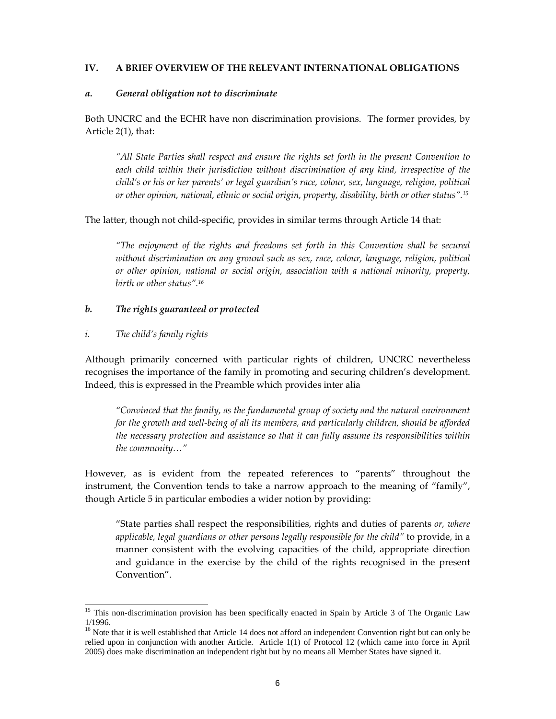#### IV. A BRIEF OVERVIEW OF THE RELEVANT INTERNATIONAL OBLIGATIONS

#### a. General obligation not to discriminate

Both UNCRC and the ECHR have non discrimination provisions. The former provides, by Article 2(1), that:

"All State Parties shall respect and ensure the rights set forth in the present Convention to each child within their jurisdiction without discrimination of any kind, irrespective of the child's or his or her parents' or legal guardian's race, colour, sex, language, religion, political or other opinion, national, ethnic or social origin, property, disability, birth or other status".<sup>15</sup>

The latter, though not child-specific, provides in similar terms through Article 14 that:

"The enjoyment of the rights and freedoms set forth in this Convention shall be secured without discrimination on any ground such as sex, race, colour, language, religion, political or other opinion, national or social origin, association with a national minority, property, birth or other status".<sup>16</sup>

#### b. The rights guaranteed or protected

#### i. The child's family rights

-

Although primarily concerned with particular rights of children, UNCRC nevertheless recognises the importance of the family in promoting and securing children's development. Indeed, this is expressed in the Preamble which provides inter alia

"Convinced that the family, as the fundamental group of society and the natural environment for the growth and well-being of all its members, and particularly children, should be afforded the necessary protection and assistance so that it can fully assume its responsibilities within the community…"

However, as is evident from the repeated references to "parents" throughout the instrument, the Convention tends to take a narrow approach to the meaning of "family", though Article 5 in particular embodies a wider notion by providing:

"State parties shall respect the responsibilities, rights and duties of parents  $or$ , where applicable, legal guardians or other persons legally responsible for the child" to provide, in a manner consistent with the evolving capacities of the child, appropriate direction and guidance in the exercise by the child of the rights recognised in the present Convention".

<sup>&</sup>lt;sup>15</sup> This non-discrimination provision has been specifically enacted in Spain by Article 3 of The Organic Law 1/1996.

<sup>&</sup>lt;sup>16</sup> Note that it is well established that Article 14 does not afford an independent Convention right but can only be relied upon in conjunction with another Article. Article 1(1) of Protocol 12 (which came into force in April 2005) does make discrimination an independent right but by no means all Member States have signed it.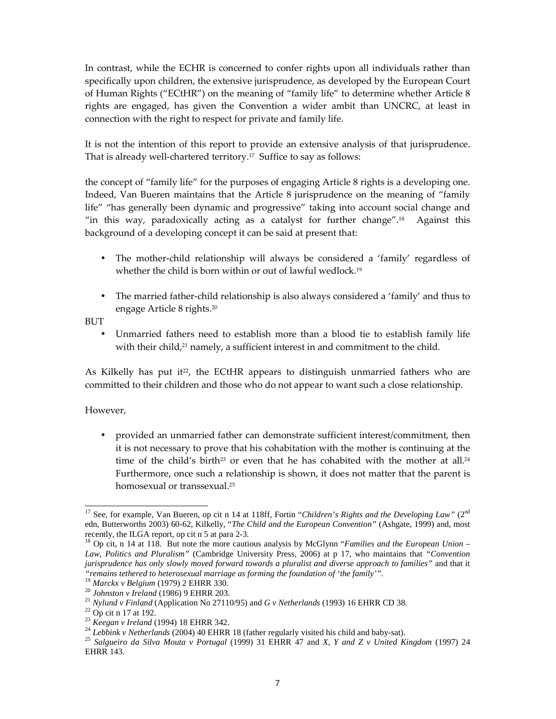In contrast, while the ECHR is concerned to confer rights upon all individuals rather than specifically upon children, the extensive jurisprudence, as developed by the European Court of Human Rights ("ECtHR") on the meaning of "family life" to determine whether Article 8 rights are engaged, has given the Convention a wider ambit than UNCRC, at least in connection with the right to respect for private and family life.

It is not the intention of this report to provide an extensive analysis of that jurisprudence. That is already well-chartered territory.<sup>17</sup> Suffice to say as follows:

the concept of "family life" for the purposes of engaging Article 8 rights is a developing one. Indeed, Van Bueren maintains that the Article 8 jurisprudence on the meaning of "family life" "has generally been dynamic and progressive" taking into account social change and "in this way, paradoxically acting as a catalyst for further change".<sup>18</sup> Against this background of a developing concept it can be said at present that:

- The mother-child relationship will always be considered a 'family' regardless of whether the child is born within or out of lawful wedlock.<sup>19</sup>
- The married father-child relationship is also always considered a 'family' and thus to engage Article 8 rights.<sup>20</sup>

BUT

• Unmarried fathers need to establish more than a blood tie to establish family life with their child, $2<sup>1</sup>$  namely, a sufficient interest in and commitment to the child.

As Kilkelly has put it<sup>22</sup>, the ECtHR appears to distinguish unmarried fathers who are committed to their children and those who do not appear to want such a close relationship.

### However,

• provided an unmarried father can demonstrate sufficient interest/commitment, then it is not necessary to prove that his cohabitation with the mother is continuing at the time of the child's birth<sup>23</sup> or even that he has cohabited with the mother at all.<sup>24</sup> Furthermore, once such a relationship is shown, it does not matter that the parent is homosexual or transsexual.<sup>25</sup>

<sup>-</sup><sup>17</sup> See, for example, Van Bueren, op cit n 14 at 118ff, Fortin "*Children's Rights and the Developing Law*" (2<sup>nd</sup> edn, Butterworths 2003) 60-62, Kilkelly, "*The Child and the European Convention"* (Ashgate, 1999) and, most recently, the ILGA report, op cit n 5 at para 2-3.

<sup>18</sup> Op cit, n 14 at 118. But note the more cautious analysis by McGlynn "*Families and the European Union – Law, Politics and Pluralism"* (Cambridge University Press, 2006) at p 17, who maintains that *"Convention jurisprudence has only slowly moved forward towards a pluralist and diverse approach to families"* and that it *"remains tethered to heterosexual marriage as forming the foundation of 'the family'".*

<sup>19</sup> *Marckx v Belgium* (1979) 2 EHRR 330.

<sup>20</sup> *Johnston v Ireland* (1986) 9 EHRR 203.

<sup>21</sup> *Nylund v Finland* (Application No 27110/95) and *G v Netherlands* (1993) 16 EHRR CD 38.

 $22$  Op cit n 17 at 192.

<sup>23</sup> *Keegan v Ireland* (1994) 18 EHRR 342.

<sup>&</sup>lt;sup>24</sup> *Lebbink v Netherlands* (2004) 40 EHRR 18 (father regularly visited his child and baby-sat).

<sup>25</sup> *Salgueiro da Silva Mouta v Portugal* (1999) 31 EHRR 47 and *X, Y and Z v United Kingdom* (1997) 24 EHRR 143.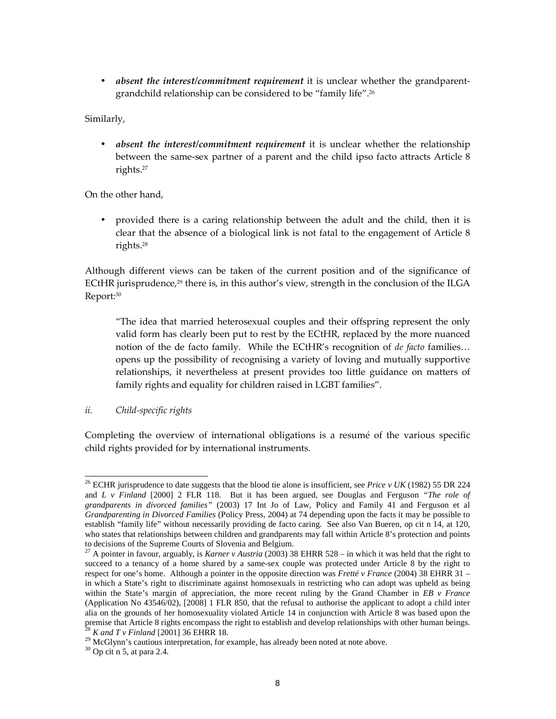• *absent the interest/commitment requirement* it is unclear whether the grandparentgrandchild relationship can be considered to be "family life".<sup>26</sup>

Similarly,

absent the interest/commitment requirement it is unclear whether the relationship between the same-sex partner of a parent and the child ipso facto attracts Article 8 rights.<sup>27</sup>

On the other hand,

• provided there is a caring relationship between the adult and the child, then it is clear that the absence of a biological link is not fatal to the engagement of Article 8 rights.<sup>28</sup>

Although different views can be taken of the current position and of the significance of ECtHR jurisprudence,<sup>29</sup> there is, in this author's view, strength in the conclusion of the ILGA Report:<sup>30</sup>

 "The idea that married heterosexual couples and their offspring represent the only valid form has clearly been put to rest by the ECtHR, replaced by the more nuanced notion of the de facto family. While the ECtHR's recognition of de facto families... opens up the possibility of recognising a variety of loving and mutually supportive relationships, it nevertheless at present provides too little guidance on matters of family rights and equality for children raised in LGBT families".

## ii. Child-specific rights

Completing the overview of international obligations is a resumé of the various specific child rights provided for by international instruments.

<sup>-</sup><sup>26</sup> ECHR jurisprudence to date suggests that the blood tie alone is insufficient, see *Price v UK* (1982) 55 DR 224 and *L v Finland* [2000] 2 FLR 118. But it has been argued, see Douglas and Ferguson *"The role of grandparents in divorced families"* (2003) 17 Int Jo of Law, Policy and Family 41 and Ferguson et al *Grandparenting in Divorced Families* (Policy Press, 2004) at 74 depending upon the facts it may be possible to establish "family life" without necessarily providing de facto caring. See also Van Bueren, op cit n 14, at 120, who states that relationships between children and grandparents may fall within Article 8's protection and points to decisions of the Supreme Courts of Slovenia and Belgium.

<sup>&</sup>lt;sup>27</sup> A pointer in favour, arguably, is *Karner v Austria* (2003) 38 EHRR 528 – in which it was held that the right to succeed to a tenancy of a home shared by a same-sex couple was protected under Article 8 by the right to respect for one's home. Although a pointer in the opposite direction was *Fretté v France* (2004) 38 EHRR 31 – in which a State's right to discriminate against homosexuals in restricting who can adopt was upheld as being within the State's margin of appreciation, the more recent ruling by the Grand Chamber in *EB v France* (Application No 43546/02), [2008] 1 FLR 850, that the refusal to authorise the applicant to adopt a child inter alia on the grounds of her homosexuality violated Article 14 in conjunction with Article 8 was based upon the premise that Article 8 rights encompass the right to establish and develop relationships with other human beings. <sup>28</sup> *K and T v Finland* [2001] 36 EHRR 18.

 $29$  McGlynn's cautious interpretation, for example, has already been noted at note above.

 $30$  Op cit n 5, at para 2.4.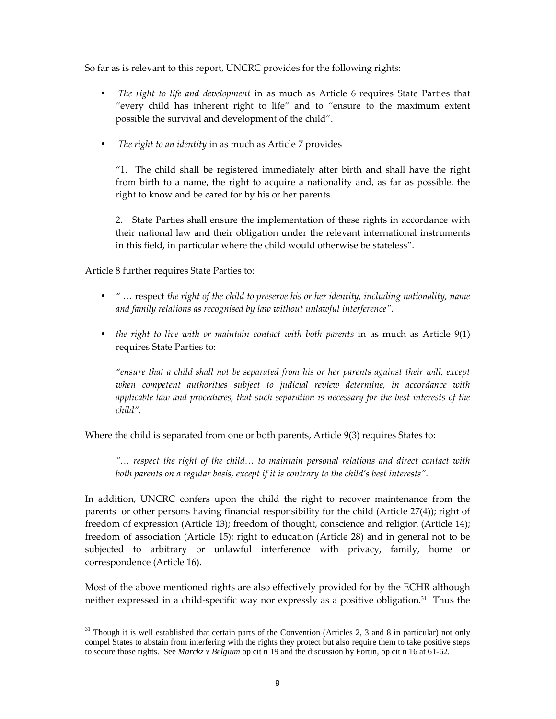So far as is relevant to this report, UNCRC provides for the following rights:

- The right to life and development in as much as Article 6 requires State Parties that "every child has inherent right to life" and to "ensure to the maximum extent possible the survival and development of the child".
- The right to an identity in as much as Article 7 provides

 "1. The child shall be registered immediately after birth and shall have the right from birth to a name, the right to acquire a nationality and, as far as possible, the right to know and be cared for by his or her parents.

 2. State Parties shall ensure the implementation of these rights in accordance with their national law and their obligation under the relevant international instruments in this field, in particular where the child would otherwise be stateless".

Article 8 further requires State Parties to:

- " ... respect the right of the child to preserve his or her identity, including nationality, name and family relations as recognised by law without unlawful interference".
- the right to live with or maintain contact with both parents in as much as Article 9(1) requires State Parties to:

 "ensure that a child shall not be separated from his or her parents against their will, except when competent authorities subject to judicial review determine, in accordance with applicable law and procedures, that such separation is necessary for the best interests of the child".

Where the child is separated from one or both parents, Article 9(3) requires States to:

"… respect the right of the child… to maintain personal relations and direct contact with both parents on a regular basis, except if it is contrary to the child's best interests".

In addition, UNCRC confers upon the child the right to recover maintenance from the parents or other persons having financial responsibility for the child (Article 27(4)); right of freedom of expression (Article 13); freedom of thought, conscience and religion (Article 14); freedom of association (Article 15); right to education (Article 28) and in general not to be subjected to arbitrary or unlawful interference with privacy, family, home or correspondence (Article 16).

Most of the above mentioned rights are also effectively provided for by the ECHR although neither expressed in a child-specific way nor expressly as a positive obligation.31 Thus the

<sup>-</sup> $31$  Though it is well established that certain parts of the Convention (Articles 2, 3 and 8 in particular) not only compel States to abstain from interfering with the rights they protect but also require them to take positive steps to secure those rights. See *Marckz v Belgium* op cit n 19 and the discussion by Fortin, op cit n 16 at 61-62.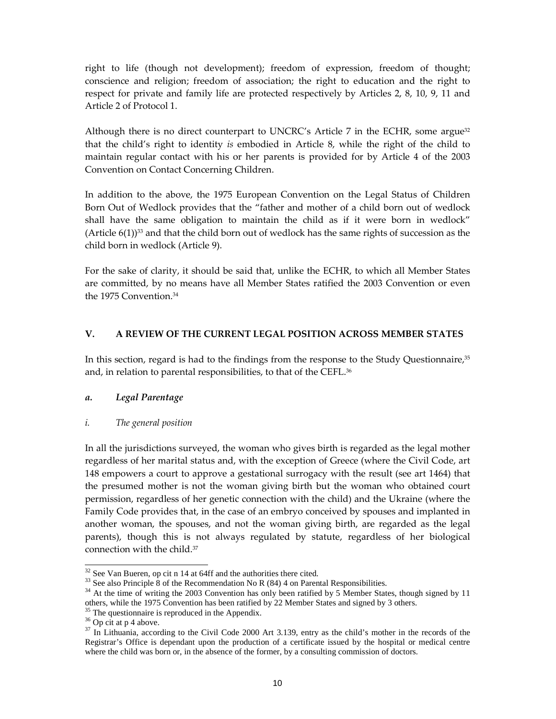right to life (though not development); freedom of expression, freedom of thought; conscience and religion; freedom of association; the right to education and the right to respect for private and family life are protected respectively by Articles 2, 8, 10, 9, 11 and Article 2 of Protocol 1.

Although there is no direct counterpart to UNCRC's Article 7 in the ECHR, some argue<sup>32</sup> that the child's right to identity is embodied in Article 8, while the right of the child to maintain regular contact with his or her parents is provided for by Article 4 of the 2003 Convention on Contact Concerning Children.

In addition to the above, the 1975 European Convention on the Legal Status of Children Born Out of Wedlock provides that the "father and mother of a child born out of wedlock shall have the same obligation to maintain the child as if it were born in wedlock" (Article  $6(1)$ )<sup>33</sup> and that the child born out of wedlock has the same rights of succession as the child born in wedlock (Article 9).

For the sake of clarity, it should be said that, unlike the ECHR, to which all Member States are committed, by no means have all Member States ratified the 2003 Convention or even the 1975 Convention.<sup>34</sup>

### V. A REVIEW OF THE CURRENT LEGAL POSITION ACROSS MEMBER STATES

In this section, regard is had to the findings from the response to the Study Questionnaire,<sup>35</sup> and, in relation to parental responsibilities, to that of the CEFL.<sup>36</sup>

### a. Legal Parentage

### i. The general position

In all the jurisdictions surveyed, the woman who gives birth is regarded as the legal mother regardless of her marital status and, with the exception of Greece (where the Civil Code, art 148 empowers a court to approve a gestational surrogacy with the result (see art 1464) that the presumed mother is not the woman giving birth but the woman who obtained court permission, regardless of her genetic connection with the child) and the Ukraine (where the Family Code provides that, in the case of an embryo conceived by spouses and implanted in another woman, the spouses, and not the woman giving birth, are regarded as the legal parents), though this is not always regulated by statute, regardless of her biological connection with the child.<sup>37</sup>

 $32$  See Van Bueren, op cit n 14 at 64ff and the authorities there cited.

 $33$  See also Principle 8 of the Recommendation No R (84) 4 on Parental Responsibilities.

<sup>&</sup>lt;sup>34</sup> At the time of writing the 2003 Convention has only been ratified by 5 Member States, though signed by 11 others, while the 1975 Convention has been ratified by 22 Member States and signed by 3 others.

<sup>&</sup>lt;sup>35</sup> The questionnaire is reproduced in the Appendix.

 $36$  Op cit at p 4 above.

<sup>&</sup>lt;sup>37</sup> In Lithuania, according to the Civil Code 2000 Art 3.139, entry as the child's mother in the records of the Registrar's Office is dependant upon the production of a certificate issued by the hospital or medical centre where the child was born or, in the absence of the former, by a consulting commission of doctors.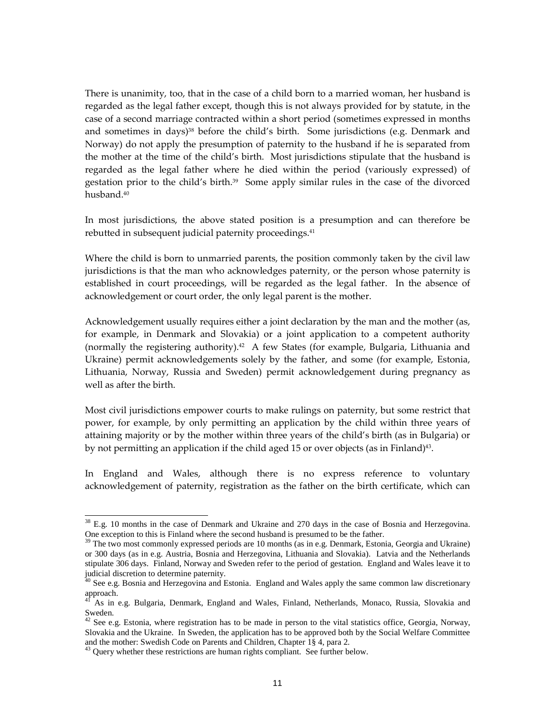There is unanimity, too, that in the case of a child born to a married woman, her husband is regarded as the legal father except, though this is not always provided for by statute, in the case of a second marriage contracted within a short period (sometimes expressed in months and sometimes in days)<sup>38</sup> before the child's birth. Some jurisdictions (e.g. Denmark and Norway) do not apply the presumption of paternity to the husband if he is separated from the mother at the time of the child's birth. Most jurisdictions stipulate that the husband is regarded as the legal father where he died within the period (variously expressed) of gestation prior to the child's birth.<sup>39</sup> Some apply similar rules in the case of the divorced husband.<sup>40</sup>

In most jurisdictions, the above stated position is a presumption and can therefore be rebutted in subsequent judicial paternity proceedings. 41

Where the child is born to unmarried parents, the position commonly taken by the civil law jurisdictions is that the man who acknowledges paternity, or the person whose paternity is established in court proceedings, will be regarded as the legal father. In the absence of acknowledgement or court order, the only legal parent is the mother.

Acknowledgement usually requires either a joint declaration by the man and the mother (as, for example, in Denmark and Slovakia) or a joint application to a competent authority (normally the registering authority).<sup>42</sup> A few States (for example, Bulgaria, Lithuania and Ukraine) permit acknowledgements solely by the father, and some (for example, Estonia, Lithuania, Norway, Russia and Sweden) permit acknowledgement during pregnancy as well as after the birth.

Most civil jurisdictions empower courts to make rulings on paternity, but some restrict that power, for example, by only permitting an application by the child within three years of attaining majority or by the mother within three years of the child's birth (as in Bulgaria) or by not permitting an application if the child aged 15 or over objects (as in Finland)<sup>43</sup> .

In England and Wales, although there is no express reference to voluntary acknowledgement of paternity, registration as the father on the birth certificate, which can

 $38$  E.g. 10 months in the case of Denmark and Ukraine and 270 days in the case of Bosnia and Herzegovina. One exception to this is Finland where the second husband is presumed to be the father.

The two most commonly expressed periods are 10 months (as in e.g. Denmark, Estonia, Georgia and Ukraine) or 300 days (as in e.g. Austria, Bosnia and Herzegovina, Lithuania and Slovakia). Latvia and the Netherlands stipulate 306 days. Finland, Norway and Sweden refer to the period of gestation. England and Wales leave it to judicial discretion to determine paternity.

<sup>&</sup>lt;sup>40</sup> See e.g. Bosnia and Herzegovina and Estonia. England and Wales apply the same common law discretionary approach.

<sup>41</sup> As in e.g. Bulgaria, Denmark, England and Wales, Finland, Netherlands, Monaco, Russia, Slovakia and Sweden.

 $42$  See e.g. Estonia, where registration has to be made in person to the vital statistics office, Georgia, Norway, Slovakia and the Ukraine. In Sweden, the application has to be approved both by the Social Welfare Committee and the mother: Swedish Code on Parents and Children, Chapter 1§ 4, para 2.

<sup>&</sup>lt;sup>43</sup> Query whether these restrictions are human rights compliant. See further below.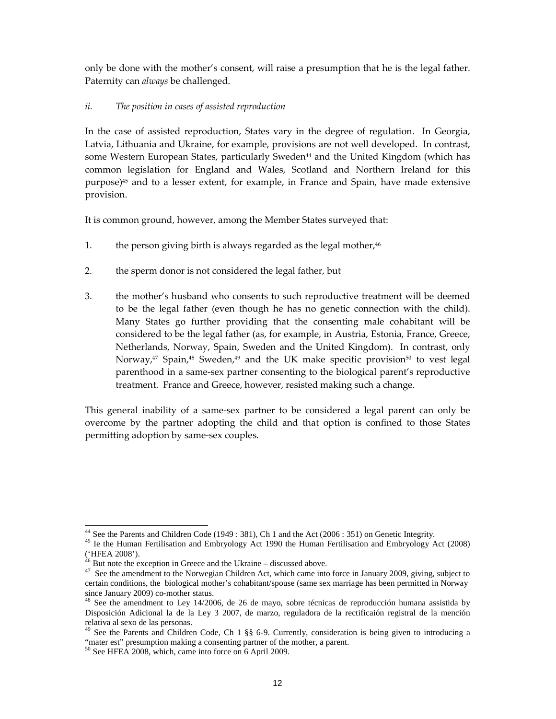only be done with the mother's consent, will raise a presumption that he is the legal father. Paternity can always be challenged.

#### ii. The position in cases of assisted reproduction

In the case of assisted reproduction, States vary in the degree of regulation. In Georgia, Latvia, Lithuania and Ukraine, for example, provisions are not well developed. In contrast, some Western European States, particularly Sweden<sup>44</sup> and the United Kingdom (which has common legislation for England and Wales, Scotland and Northern Ireland for this purpose)45 and to a lesser extent, for example, in France and Spain, have made extensive provision.

It is common ground, however, among the Member States surveyed that:

- 1. the person giving birth is always regarded as the legal mother, $46$
- 2. the sperm donor is not considered the legal father, but
- 3. the mother's husband who consents to such reproductive treatment will be deemed to be the legal father (even though he has no genetic connection with the child). Many States go further providing that the consenting male cohabitant will be considered to be the legal father (as, for example, in Austria, Estonia, France, Greece, Netherlands, Norway, Spain, Sweden and the United Kingdom). In contrast, only Norway,<sup>47</sup> Spain,<sup>48</sup> Sweden,<sup>49</sup> and the UK make specific provision<sup>50</sup> to vest legal parenthood in a same-sex partner consenting to the biological parent's reproductive treatment. France and Greece, however, resisted making such a change.

This general inability of a same-sex partner to be considered a legal parent can only be overcome by the partner adopting the child and that option is confined to those States permitting adoption by same-sex couples.

<sup>&</sup>lt;sup>44</sup> See the Parents and Children Code (1949: 381), Ch 1 and the Act (2006: 351) on Genetic Integrity.

<sup>45</sup> Ie the Human Fertilisation and Embryology Act 1990 the Human Fertilisation and Embryology Act (2008)  $(HFEA 2008^{\circ}).$ 

But note the exception in Greece and the Ukraine – discussed above.

<sup>&</sup>lt;sup>47</sup> See the amendment to the Norwegian Children Act, which came into force in January 2009, giving, subject to certain conditions, the biological mother's cohabitant/spouse (same sex marriage has been permitted in Norway since January 2009) co-mother status.

<sup>&</sup>lt;sup>48</sup> See the amendment to Ley 14/2006, de 26 de mayo, sobre técnicas de reproducción humana assistida by Disposición Adicional la de la Ley 3 2007, de marzo, reguladora de la rectificaión registral de la mención relativa al sexo de las personas.

<sup>&</sup>lt;sup>49</sup> See the Parents and Children Code, Ch 1 §§ 6-9. Currently, consideration is being given to introducing a "mater est" presumption making a consenting partner of the mother, a parent.

<sup>50</sup> See HFEA 2008, which, came into force on 6 April 2009.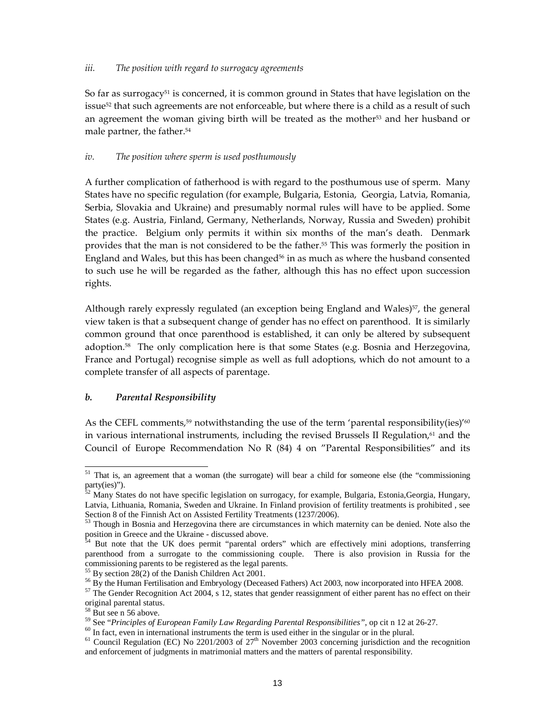#### iii. The position with regard to surrogacy agreements

So far as surrogacy<sup>51</sup> is concerned, it is common ground in States that have legislation on the issue<sup>52</sup> that such agreements are not enforceable, but where there is a child as a result of such an agreement the woman giving birth will be treated as the mother<sup>53</sup> and her husband or male partner, the father.<sup>54</sup>

#### iv. The position where sperm is used posthumously

A further complication of fatherhood is with regard to the posthumous use of sperm. Many States have no specific regulation (for example, Bulgaria, Estonia, Georgia, Latvia, Romania, Serbia, Slovakia and Ukraine) and presumably normal rules will have to be applied. Some States (e.g. Austria, Finland, Germany, Netherlands, Norway, Russia and Sweden) prohibit the practice. Belgium only permits it within six months of the man's death. Denmark provides that the man is not considered to be the father.55 This was formerly the position in England and Wales, but this has been changed $56$  in as much as where the husband consented to such use he will be regarded as the father, although this has no effect upon succession rights.

Although rarely expressly regulated (an exception being England and Wales)<sup>57</sup>, the general view taken is that a subsequent change of gender has no effect on parenthood. It is similarly common ground that once parenthood is established, it can only be altered by subsequent adoption.58 The only complication here is that some States (e.g. Bosnia and Herzegovina, France and Portugal) recognise simple as well as full adoptions, which do not amount to a complete transfer of all aspects of parentage.

### b. Parental Responsibility

As the CEFL comments,<sup>59</sup> notwithstanding the use of the term 'parental responsibility(ies)<sup>'60</sup> in various international instruments, including the revised Brussels II Regulation,<sup>61</sup> and the Council of Europe Recommendation No R (84) 4 on "Parental Responsibilities" and its

<sup>55</sup> By section 28(2) of the Danish Children Act 2001.

-

<sup>60</sup> In fact, even in international instruments the term is used either in the singular or in the plural.

<sup>&</sup>lt;sup>51</sup> That is, an agreement that a woman (the surrogate) will bear a child for someone else (the "commissioning party(ies)").

<sup>52</sup> Many States do not have specific legislation on surrogacy, for example, Bulgaria, Estonia,Georgia, Hungary, Latvia, Lithuania, Romania, Sweden and Ukraine. In Finland provision of fertility treatments is prohibited , see Section 8 of the Finnish Act on Assisted Fertility Treatments (1237/2006).

<sup>&</sup>lt;sup>53</sup> Though in Bosnia and Herzegovina there are circumstances in which maternity can be denied. Note also the position in Greece and the Ukraine - discussed above.

<sup>54</sup> But note that the UK does permit "parental orders" which are effectively mini adoptions, transferring parenthood from a surrogate to the commissioning couple. There is also provision in Russia for the commissioning parents to be registered as the legal parents.

<sup>&</sup>lt;sup>56</sup> By the Human Fertilisation and Embryology (Deceased Fathers) Act 2003, now incorporated into HFEA 2008.

 $57$  The Gender Recognition Act 2004, s 12, states that gender reassignment of either parent has no effect on their original parental status.

But see n 56 above.

<sup>59</sup> See "*Principles of European Family Law Regarding Parental Responsibilities"*, op cit n 12 at 26-27.

<sup>&</sup>lt;sup>61</sup> Council Regulation (EC) No 2201/2003 of 27<sup>th</sup> November 2003 concerning jurisdiction and the recognition and enforcement of judgments in matrimonial matters and the matters of parental responsibility.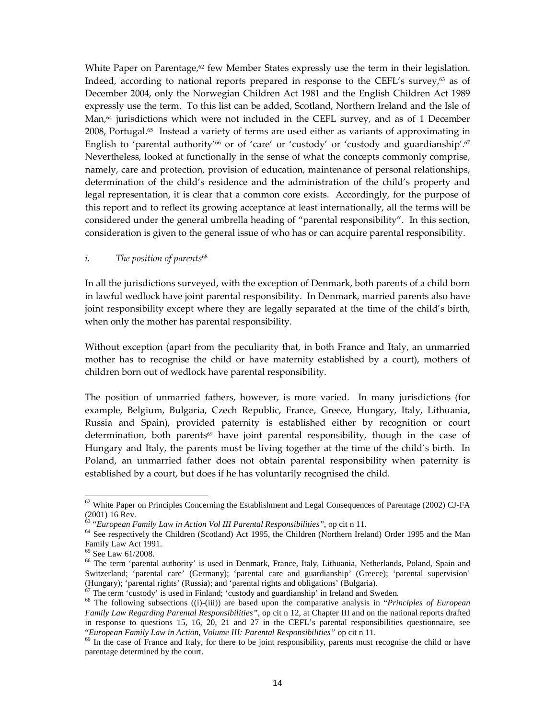White Paper on Parentage,<sup>62</sup> few Member States expressly use the term in their legislation. Indeed, according to national reports prepared in response to the CEFL's survey, $63$  as of December 2004, only the Norwegian Children Act 1981 and the English Children Act 1989 expressly use the term. To this list can be added, Scotland, Northern Ireland and the Isle of Man,<sup>64</sup> jurisdictions which were not included in the CEFL survey, and as of 1 December 2008, Portugal.65 Instead a variety of terms are used either as variants of approximating in English to 'parental authority'<sup>66</sup> or of 'care' or 'custody' or 'custody and guardianship'.<sup>67</sup> Nevertheless, looked at functionally in the sense of what the concepts commonly comprise, namely, care and protection, provision of education, maintenance of personal relationships, determination of the child's residence and the administration of the child's property and legal representation, it is clear that a common core exists. Accordingly, for the purpose of this report and to reflect its growing acceptance at least internationally, all the terms will be considered under the general umbrella heading of "parental responsibility". In this section, consideration is given to the general issue of who has or can acquire parental responsibility.

#### i. The position of parents<sup>68</sup>

In all the jurisdictions surveyed, with the exception of Denmark, both parents of a child born in lawful wedlock have joint parental responsibility. In Denmark, married parents also have joint responsibility except where they are legally separated at the time of the child's birth, when only the mother has parental responsibility.

Without exception (apart from the peculiarity that, in both France and Italy, an unmarried mother has to recognise the child or have maternity established by a court), mothers of children born out of wedlock have parental responsibility.

The position of unmarried fathers, however, is more varied. In many jurisdictions (for example, Belgium, Bulgaria, Czech Republic, France, Greece, Hungary, Italy, Lithuania, Russia and Spain), provided paternity is established either by recognition or court determination, both parents<sup>69</sup> have joint parental responsibility, though in the case of Hungary and Italy, the parents must be living together at the time of the child's birth. In Poland, an unmarried father does not obtain parental responsibility when paternity is established by a court, but does if he has voluntarily recognised the child.

 $62$  White Paper on Principles Concerning the Establishment and Legal Consequences of Parentage (2002) CJ-FA (2001) 16 Rev.

<sup>63</sup> "*European Family Law in Action Vol III Parental Responsibilities",* op cit n 11.

<sup>&</sup>lt;sup>64</sup> See respectively the Children (Scotland) Act 1995, the Children (Northern Ireland) Order 1995 and the Man Family Law Act 1991.

<sup>65</sup> See Law 61/2008.

<sup>&</sup>lt;sup>66</sup> The term 'parental authority' is used in Denmark, France, Italy, Lithuania, Netherlands, Poland, Spain and Switzerland; 'parental care' (Germany); 'parental care and guardianship' (Greece); 'parental supervision' (Hungary); 'parental rights' (Russia); and 'parental rights and obligations' (Bulgaria).

The term 'custody' is used in Finland; 'custody and guardianship' in Ireland and Sweden.

<sup>68</sup> The following subsections ((i)-(iii)) are based upon the comparative analysis in "*Principles of European Family Law Regarding Parental Responsibilities",* op cit n 12, at Chapter III and on the national reports drafted in response to questions 15, 16, 20, 21 and 27 in the CEFL's parental responsibilities questionnaire, see "*European Family Law in Action, Volume III: Parental Responsibilities"* op cit n 11.

<sup>&</sup>lt;sup>69</sup> In the case of France and Italy, for there to be joint responsibility, parents must recognise the child or have parentage determined by the court.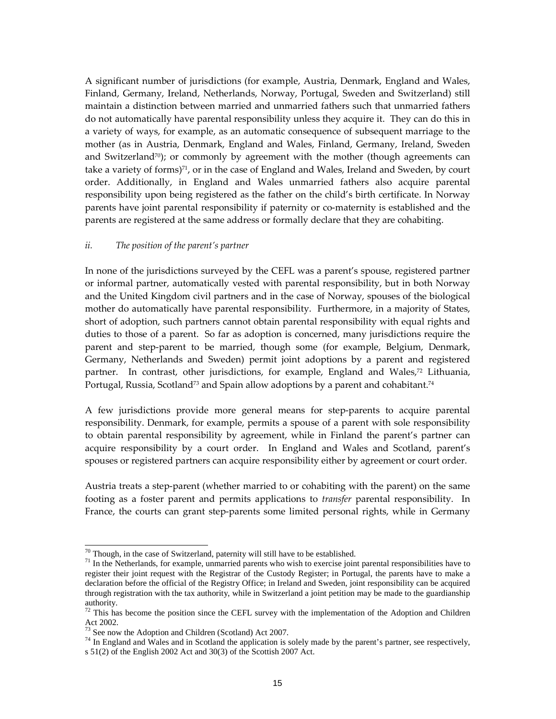A significant number of jurisdictions (for example, Austria, Denmark, England and Wales, Finland, Germany, Ireland, Netherlands, Norway, Portugal, Sweden and Switzerland) still maintain a distinction between married and unmarried fathers such that unmarried fathers do not automatically have parental responsibility unless they acquire it. They can do this in a variety of ways, for example, as an automatic consequence of subsequent marriage to the mother (as in Austria, Denmark, England and Wales, Finland, Germany, Ireland, Sweden and Switzerland<sup>70</sup>); or commonly by agreement with the mother (though agreements can take a variety of forms) $71$ , or in the case of England and Wales, Ireland and Sweden, by court order. Additionally, in England and Wales unmarried fathers also acquire parental responsibility upon being registered as the father on the child's birth certificate. In Norway parents have joint parental responsibility if paternity or co-maternity is established and the parents are registered at the same address or formally declare that they are cohabiting.

#### ii. The position of the parent's partner

In none of the jurisdictions surveyed by the CEFL was a parent's spouse, registered partner or informal partner, automatically vested with parental responsibility, but in both Norway and the United Kingdom civil partners and in the case of Norway, spouses of the biological mother do automatically have parental responsibility. Furthermore, in a majority of States, short of adoption, such partners cannot obtain parental responsibility with equal rights and duties to those of a parent. So far as adoption is concerned, many jurisdictions require the parent and step-parent to be married, though some (for example, Belgium, Denmark, Germany, Netherlands and Sweden) permit joint adoptions by a parent and registered partner. In contrast, other jurisdictions, for example, England and Wales,<sup>72</sup> Lithuania, Portugal, Russia, Scotland $^{73}$  and Spain allow adoptions by a parent and cohabitant. $^{74}$ 

A few jurisdictions provide more general means for step-parents to acquire parental responsibility. Denmark, for example, permits a spouse of a parent with sole responsibility to obtain parental responsibility by agreement, while in Finland the parent's partner can acquire responsibility by a court order. In England and Wales and Scotland, parent's spouses or registered partners can acquire responsibility either by agreement or court order.

Austria treats a step-parent (whether married to or cohabiting with the parent) on the same footing as a foster parent and permits applications to *transfer* parental responsibility. In France, the courts can grant step-parents some limited personal rights, while in Germany

 $\overline{a}$ 

 $70$  Though, in the case of Switzerland, paternity will still have to be established.

 $71$  In the Netherlands, for example, unmarried parents who wish to exercise joint parental responsibilities have to register their joint request with the Registrar of the Custody Register; in Portugal, the parents have to make a declaration before the official of the Registry Office; in Ireland and Sweden, joint responsibility can be acquired through registration with the tax authority, while in Switzerland a joint petition may be made to the guardianship authority.

 $72$  This has become the position since the CEFL survey with the implementation of the Adoption and Children Act 2002.

See now the Adoption and Children (Scotland) Act 2007.

 $74$  In England and Wales and in Scotland the application is solely made by the parent's partner, see respectively, s 51(2) of the English 2002 Act and 30(3) of the Scottish 2007 Act.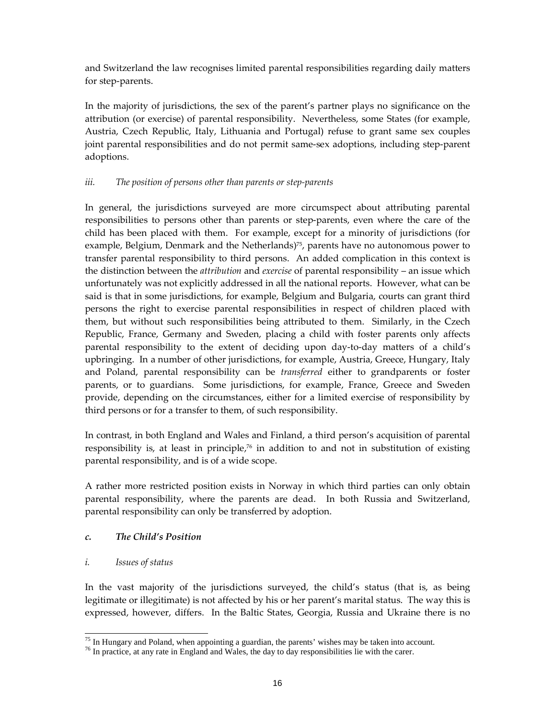and Switzerland the law recognises limited parental responsibilities regarding daily matters for step-parents.

In the majority of jurisdictions, the sex of the parent's partner plays no significance on the attribution (or exercise) of parental responsibility. Nevertheless, some States (for example, Austria, Czech Republic, Italy, Lithuania and Portugal) refuse to grant same sex couples joint parental responsibilities and do not permit same-sex adoptions, including step-parent adoptions.

## iii. The position of persons other than parents or step-parents

In general, the jurisdictions surveyed are more circumspect about attributing parental responsibilities to persons other than parents or step-parents, even where the care of the child has been placed with them. For example, except for a minority of jurisdictions (for example, Belgium, Denmark and the Netherlands)<sup>75</sup>, parents have no autonomous power to transfer parental responsibility to third persons. An added complication in this context is the distinction between the *attribution* and *exercise* of parental responsibility – an issue which unfortunately was not explicitly addressed in all the national reports. However, what can be said is that in some jurisdictions, for example, Belgium and Bulgaria, courts can grant third persons the right to exercise parental responsibilities in respect of children placed with them, but without such responsibilities being attributed to them. Similarly, in the Czech Republic, France, Germany and Sweden, placing a child with foster parents only affects parental responsibility to the extent of deciding upon day-to-day matters of a child's upbringing. In a number of other jurisdictions, for example, Austria, Greece, Hungary, Italy and Poland, parental responsibility can be *transferred* either to grandparents or foster parents, or to guardians. Some jurisdictions, for example, France, Greece and Sweden provide, depending on the circumstances, either for a limited exercise of responsibility by third persons or for a transfer to them, of such responsibility.

In contrast, in both England and Wales and Finland, a third person's acquisition of parental responsibility is, at least in principle, $76$  in addition to and not in substitution of existing parental responsibility, and is of a wide scope.

A rather more restricted position exists in Norway in which third parties can only obtain parental responsibility, where the parents are dead. In both Russia and Switzerland, parental responsibility can only be transferred by adoption.

## c. The Child's Position

### i. Issues of status

In the vast majority of the jurisdictions surveyed, the child's status (that is, as being legitimate or illegitimate) is not affected by his or her parent's marital status. The way this is expressed, however, differs. In the Baltic States, Georgia, Russia and Ukraine there is no

<sup>-</sup> $75$  In Hungary and Poland, when appointing a guardian, the parents' wishes may be taken into account.

<sup>&</sup>lt;sup>76</sup> In practice, at any rate in England and Wales, the day to day responsibilities lie with the carer.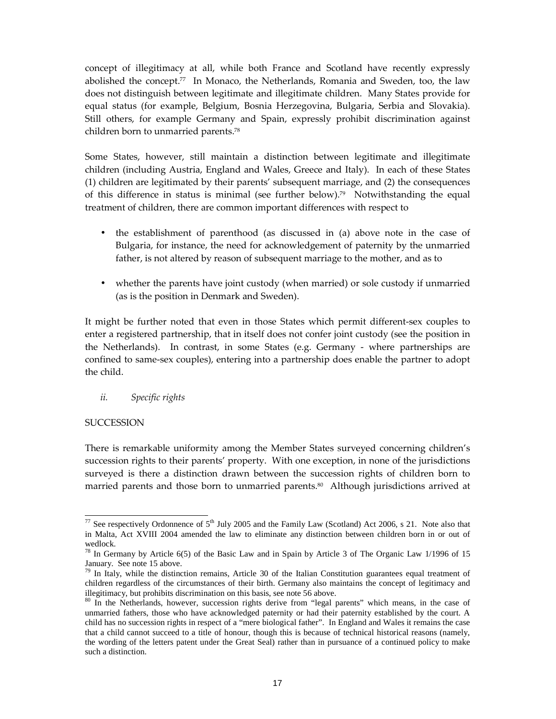concept of illegitimacy at all, while both France and Scotland have recently expressly abolished the concept.77 In Monaco, the Netherlands, Romania and Sweden, too, the law does not distinguish between legitimate and illegitimate children. Many States provide for equal status (for example, Belgium, Bosnia Herzegovina, Bulgaria, Serbia and Slovakia). Still others, for example Germany and Spain, expressly prohibit discrimination against children born to unmarried parents.<sup>78</sup>

Some States, however, still maintain a distinction between legitimate and illegitimate children (including Austria, England and Wales, Greece and Italy). In each of these States (1) children are legitimated by their parents' subsequent marriage, and (2) the consequences of this difference in status is minimal (see further below).<sup>79</sup> Notwithstanding the equal treatment of children, there are common important differences with respect to

- the establishment of parenthood (as discussed in (a) above note in the case of Bulgaria, for instance, the need for acknowledgement of paternity by the unmarried father, is not altered by reason of subsequent marriage to the mother, and as to
- whether the parents have joint custody (when married) or sole custody if unmarried (as is the position in Denmark and Sweden).

It might be further noted that even in those States which permit different-sex couples to enter a registered partnership, that in itself does not confer joint custody (see the position in the Netherlands). In contrast, in some States (e.g. Germany - where partnerships are confined to same-sex couples), entering into a partnership does enable the partner to adopt the child.

### ii. Specific rights

### **SUCCESSION**

There is remarkable uniformity among the Member States surveyed concerning children's succession rights to their parents' property. With one exception, in none of the jurisdictions surveyed is there a distinction drawn between the succession rights of children born to married parents and those born to unmarried parents. <sup>80</sup> Although jurisdictions arrived at

<sup>-</sup><sup>77</sup> See respectively Ordonnence of  $5<sup>th</sup>$  July 2005 and the Family Law (Scotland) Act 2006, s 21. Note also that in Malta, Act XVIII 2004 amended the law to eliminate any distinction between children born in or out of wedlock.

<sup>&</sup>lt;sup>78</sup> In Germany by Article 6(5) of the Basic Law and in Spain by Article 3 of The Organic Law  $1/1996$  of 15 January. See note 15 above.

 $79$  In Italy, while the distinction remains, Article 30 of the Italian Constitution guarantees equal treatment of children regardless of the circumstances of their birth. Germany also maintains the concept of legitimacy and illegitimacy, but prohibits discrimination on this basis, see note 56 above.

<sup>&</sup>lt;sup>80</sup> In the Netherlands, however, succession rights derive from "legal parents" which means, in the case of unmarried fathers, those who have acknowledged paternity or had their paternity established by the court. A child has no succession rights in respect of a "mere biological father". In England and Wales it remains the case that a child cannot succeed to a title of honour, though this is because of technical historical reasons (namely, the wording of the letters patent under the Great Seal) rather than in pursuance of a continued policy to make such a distinction.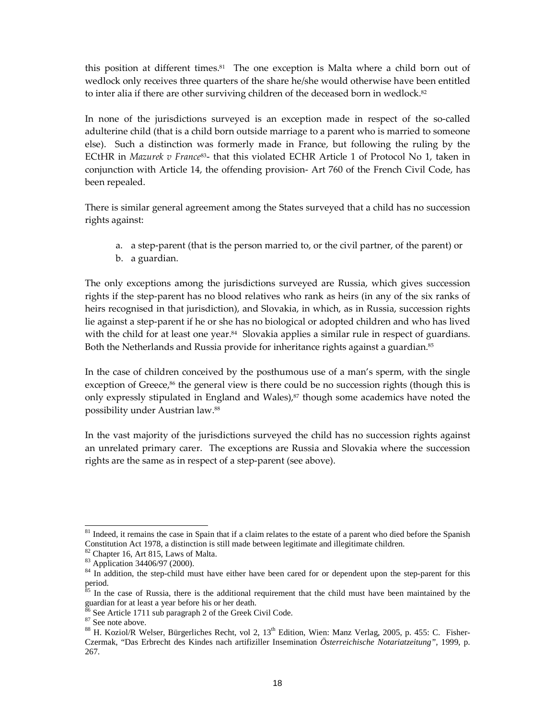this position at different times.<sup>81</sup> The one exception is Malta where a child born out of wedlock only receives three quarters of the share he/she would otherwise have been entitled to inter alia if there are other surviving children of the deceased born in wedlock. $82$ 

In none of the jurisdictions surveyed is an exception made in respect of the so-called adulterine child (that is a child born outside marriage to a parent who is married to someone else). Such a distinction was formerly made in France, but following the ruling by the ECtHR in Mazurek v France<sup>83</sup>- that this violated ECHR Article 1 of Protocol No 1, taken in conjunction with Article 14, the offending provision- Art 760 of the French Civil Code, has been repealed.

There is similar general agreement among the States surveyed that a child has no succession rights against:

- a. a step-parent (that is the person married to, or the civil partner, of the parent) or
- b. a guardian.

The only exceptions among the jurisdictions surveyed are Russia, which gives succession rights if the step-parent has no blood relatives who rank as heirs (in any of the six ranks of heirs recognised in that jurisdiction), and Slovakia, in which, as in Russia, succession rights lie against a step-parent if he or she has no biological or adopted children and who has lived with the child for at least one year.<sup>84</sup> Slovakia applies a similar rule in respect of guardians. Both the Netherlands and Russia provide for inheritance rights against a guardian.<sup>85</sup>

In the case of children conceived by the posthumous use of a man's sperm, with the single exception of Greece, $86$  the general view is there could be no succession rights (though this is only expressly stipulated in England and Wales),<sup>87</sup> though some academics have noted the possibility under Austrian law.<sup>88</sup>

In the vast majority of the jurisdictions surveyed the child has no succession rights against an unrelated primary carer. The exceptions are Russia and Slovakia where the succession rights are the same as in respect of a step-parent (see above).

<sup>&</sup>lt;sup>81</sup> Indeed, it remains the case in Spain that if a claim relates to the estate of a parent who died before the Spanish Constitution Act 1978, a distinction is still made between legitimate and illegitimate children.

<sup>82</sup> Chapter 16, Art 815, Laws of Malta.

<sup>83</sup> Application 34406/97 (2000).

<sup>&</sup>lt;sup>84</sup> In addition, the step-child must have either have been cared for or dependent upon the step-parent for this period.

In the case of Russia, there is the additional requirement that the child must have been maintained by the guardian for at least a year before his or her death.

See Article 1711 sub paragraph 2 of the Greek Civil Code.

 $87$  See note above.

<sup>&</sup>lt;sup>88</sup> H. Koziol/R Welser, Bürgerliches Recht, vol 2, 13<sup>th</sup> Edition, Wien: Manz Verlag, 2005, p. 455: C. Fisher-Czermak, "Das Erbrecht des Kindes nach artifiziller Insemination *Österreichische Notariatzeitung",* 1999, p. 267.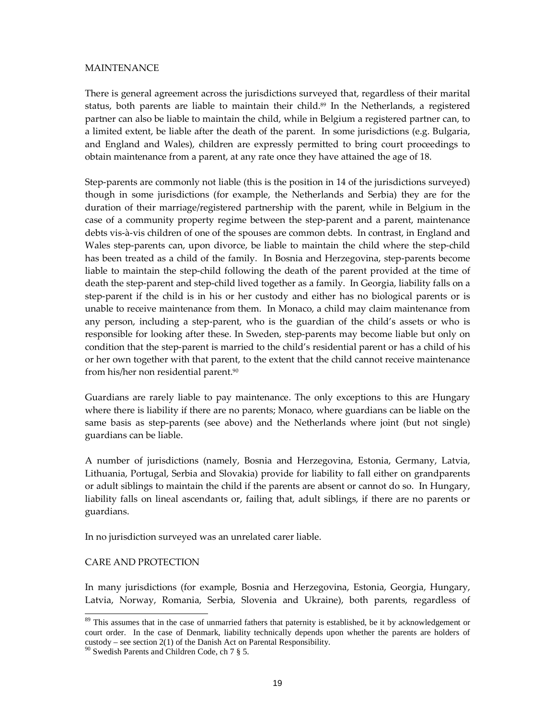#### MAINTENANCE

There is general agreement across the jurisdictions surveyed that, regardless of their marital status, both parents are liable to maintain their child.89 In the Netherlands, a registered partner can also be liable to maintain the child, while in Belgium a registered partner can, to a limited extent, be liable after the death of the parent. In some jurisdictions (e.g. Bulgaria, and England and Wales), children are expressly permitted to bring court proceedings to obtain maintenance from a parent, at any rate once they have attained the age of 18.

Step-parents are commonly not liable (this is the position in 14 of the jurisdictions surveyed) though in some jurisdictions (for example, the Netherlands and Serbia) they are for the duration of their marriage/registered partnership with the parent, while in Belgium in the case of a community property regime between the step-parent and a parent, maintenance debts vis-à-vis children of one of the spouses are common debts. In contrast, in England and Wales step-parents can, upon divorce, be liable to maintain the child where the step-child has been treated as a child of the family. In Bosnia and Herzegovina, step-parents become liable to maintain the step-child following the death of the parent provided at the time of death the step-parent and step-child lived together as a family. In Georgia, liability falls on a step-parent if the child is in his or her custody and either has no biological parents or is unable to receive maintenance from them. In Monaco, a child may claim maintenance from any person, including a step-parent, who is the guardian of the child's assets or who is responsible for looking after these. In Sweden, step-parents may become liable but only on condition that the step-parent is married to the child's residential parent or has a child of his or her own together with that parent, to the extent that the child cannot receive maintenance from his/her non residential parent.<sup>90</sup>

Guardians are rarely liable to pay maintenance. The only exceptions to this are Hungary where there is liability if there are no parents; Monaco, where guardians can be liable on the same basis as step-parents (see above) and the Netherlands where joint (but not single) guardians can be liable.

A number of jurisdictions (namely, Bosnia and Herzegovina, Estonia, Germany, Latvia, Lithuania, Portugal, Serbia and Slovakia) provide for liability to fall either on grandparents or adult siblings to maintain the child if the parents are absent or cannot do so. In Hungary, liability falls on lineal ascendants or, failing that, adult siblings, if there are no parents or guardians.

In no jurisdiction surveyed was an unrelated carer liable.

### CARE AND PROTECTION

-

In many jurisdictions (for example, Bosnia and Herzegovina, Estonia, Georgia, Hungary, Latvia, Norway, Romania, Serbia, Slovenia and Ukraine), both parents, regardless of

<sup>&</sup>lt;sup>89</sup> This assumes that in the case of unmarried fathers that paternity is established, be it by acknowledgement or court order. In the case of Denmark, liability technically depends upon whether the parents are holders of custody – see section  $2(1)$  of the Danish Act on Parental Responsibility.

<sup>90</sup> Swedish Parents and Children Code, ch 7 § 5.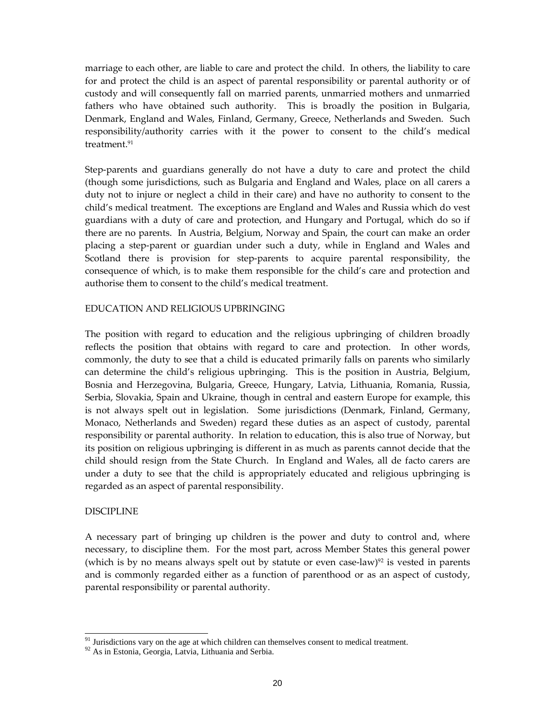marriage to each other, are liable to care and protect the child. In others, the liability to care for and protect the child is an aspect of parental responsibility or parental authority or of custody and will consequently fall on married parents, unmarried mothers and unmarried fathers who have obtained such authority. This is broadly the position in Bulgaria, Denmark, England and Wales, Finland, Germany, Greece, Netherlands and Sweden. Such responsibility/authority carries with it the power to consent to the child's medical treatment.<sup>91</sup>

Step-parents and guardians generally do not have a duty to care and protect the child (though some jurisdictions, such as Bulgaria and England and Wales, place on all carers a duty not to injure or neglect a child in their care) and have no authority to consent to the child's medical treatment. The exceptions are England and Wales and Russia which do vest guardians with a duty of care and protection, and Hungary and Portugal, which do so if there are no parents. In Austria, Belgium, Norway and Spain, the court can make an order placing a step-parent or guardian under such a duty, while in England and Wales and Scotland there is provision for step-parents to acquire parental responsibility, the consequence of which, is to make them responsible for the child's care and protection and authorise them to consent to the child's medical treatment.

#### EDUCATION AND RELIGIOUS UPBRINGING

The position with regard to education and the religious upbringing of children broadly reflects the position that obtains with regard to care and protection. In other words, commonly, the duty to see that a child is educated primarily falls on parents who similarly can determine the child's religious upbringing. This is the position in Austria, Belgium, Bosnia and Herzegovina, Bulgaria, Greece, Hungary, Latvia, Lithuania, Romania, Russia, Serbia, Slovakia, Spain and Ukraine, though in central and eastern Europe for example, this is not always spelt out in legislation. Some jurisdictions (Denmark, Finland, Germany, Monaco, Netherlands and Sweden) regard these duties as an aspect of custody, parental responsibility or parental authority. In relation to education, this is also true of Norway, but its position on religious upbringing is different in as much as parents cannot decide that the child should resign from the State Church. In England and Wales, all de facto carers are under a duty to see that the child is appropriately educated and religious upbringing is regarded as an aspect of parental responsibility.

#### DISCIPLINE

-

A necessary part of bringing up children is the power and duty to control and, where necessary, to discipline them. For the most part, across Member States this general power (which is by no means always spelt out by statute or even case-law)<sup>92</sup> is vested in parents and is commonly regarded either as a function of parenthood or as an aspect of custody, parental responsibility or parental authority.

 $91$  Jurisdictions vary on the age at which children can themselves consent to medical treatment.

<sup>&</sup>lt;sup>92</sup> As in Estonia, Georgia, Latvia, Lithuania and Serbia.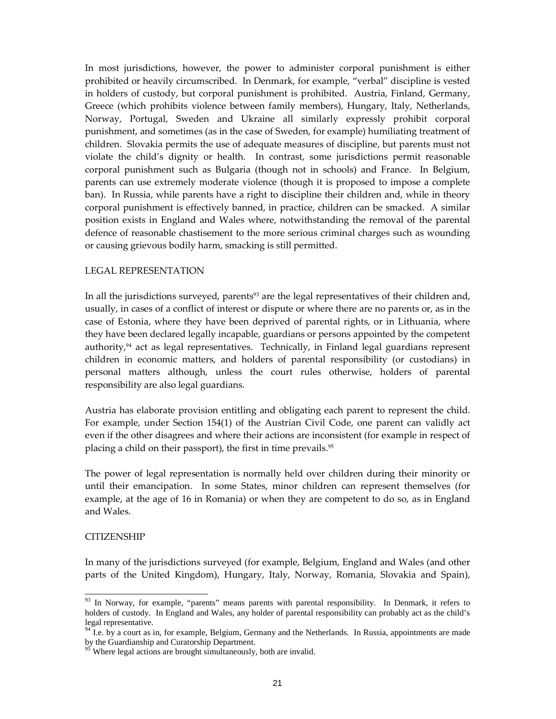In most jurisdictions, however, the power to administer corporal punishment is either prohibited or heavily circumscribed. In Denmark, for example, "verbal" discipline is vested in holders of custody, but corporal punishment is prohibited. Austria, Finland, Germany, Greece (which prohibits violence between family members), Hungary, Italy, Netherlands, Norway, Portugal, Sweden and Ukraine all similarly expressly prohibit corporal punishment, and sometimes (as in the case of Sweden, for example) humiliating treatment of children. Slovakia permits the use of adequate measures of discipline, but parents must not violate the child's dignity or health. In contrast, some jurisdictions permit reasonable corporal punishment such as Bulgaria (though not in schools) and France. In Belgium, parents can use extremely moderate violence (though it is proposed to impose a complete ban). In Russia, while parents have a right to discipline their children and, while in theory corporal punishment is effectively banned, in practice, children can be smacked. A similar position exists in England and Wales where, notwithstanding the removal of the parental defence of reasonable chastisement to the more serious criminal charges such as wounding or causing grievous bodily harm, smacking is still permitted.

#### LEGAL REPRESENTATION

In all the jurisdictions surveyed, parents<sup>93</sup> are the legal representatives of their children and, usually, in cases of a conflict of interest or dispute or where there are no parents or, as in the case of Estonia, where they have been deprived of parental rights, or in Lithuania, where they have been declared legally incapable, guardians or persons appointed by the competent authority, $94$  act as legal representatives. Technically, in Finland legal guardians represent children in economic matters, and holders of parental responsibility (or custodians) in personal matters although, unless the court rules otherwise, holders of parental responsibility are also legal guardians.

Austria has elaborate provision entitling and obligating each parent to represent the child. For example, under Section 154(1) of the Austrian Civil Code, one parent can validly act even if the other disagrees and where their actions are inconsistent (for example in respect of placing a child on their passport), the first in time prevails.<sup>95</sup>

The power of legal representation is normally held over children during their minority or until their emancipation. In some States, minor children can represent themselves (for example, at the age of 16 in Romania) or when they are competent to do so, as in England and Wales.

#### **CITIZENSHIP**

-

In many of the jurisdictions surveyed (for example, Belgium, England and Wales (and other parts of the United Kingdom), Hungary, Italy, Norway, Romania, Slovakia and Spain),

<sup>&</sup>lt;sup>93</sup> In Norway, for example, "parents" means parents with parental responsibility. In Denmark, it refers to holders of custody. In England and Wales, any holder of parental responsibility can probably act as the child's legal representative.

I.e. by a court as in, for example, Belgium, Germany and the Netherlands. In Russia, appointments are made by the Guardianship and Curatorship Department.

 $95$  Where legal actions are brought simultaneously, both are invalid.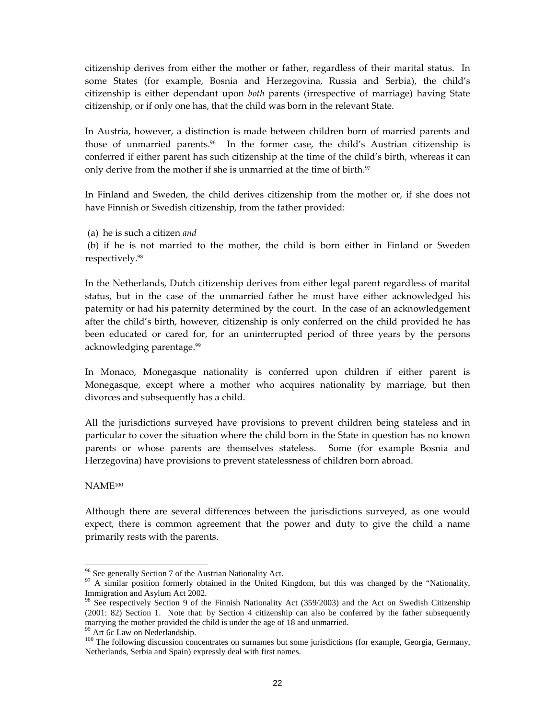citizenship derives from either the mother or father, regardless of their marital status. In some States (for example, Bosnia and Herzegovina, Russia and Serbia), the child's citizenship is either dependant upon both parents (irrespective of marriage) having State citizenship, or if only one has, that the child was born in the relevant State.

In Austria, however, a distinction is made between children born of married parents and those of unmarried parents.<sup>96</sup> In the former case, the child's Austrian citizenship is conferred if either parent has such citizenship at the time of the child's birth, whereas it can only derive from the mother if she is unmarried at the time of birth.<sup>97</sup>

In Finland and Sweden, the child derives citizenship from the mother or, if she does not have Finnish or Swedish citizenship, from the father provided:

(a) he is such a citizen and

 (b) if he is not married to the mother, the child is born either in Finland or Sweden respectively.<sup>98</sup>

In the Netherlands, Dutch citizenship derives from either legal parent regardless of marital status, but in the case of the unmarried father he must have either acknowledged his paternity or had his paternity determined by the court. In the case of an acknowledgement after the child's birth, however, citizenship is only conferred on the child provided he has been educated or cared for, for an uninterrupted period of three years by the persons acknowledging parentage.<sup>99</sup>

In Monaco, Monegasque nationality is conferred upon children if either parent is Monegasque, except where a mother who acquires nationality by marriage, but then divorces and subsequently has a child.

All the jurisdictions surveyed have provisions to prevent children being stateless and in particular to cover the situation where the child born in the State in question has no known parents or whose parents are themselves stateless. Some (for example Bosnia and Herzegovina) have provisions to prevent statelessness of children born abroad.

NAME<sup>100</sup>

-

Although there are several differences between the jurisdictions surveyed, as one would expect, there is common agreement that the power and duty to give the child a name primarily rests with the parents.

<sup>&</sup>lt;sup>96</sup> See generally Section 7 of the Austrian Nationality Act.

<sup>&</sup>lt;sup>97</sup> A similar position formerly obtained in the United Kingdom, but this was changed by the "Nationality, Immigration and Asylum Act 2002.

<sup>&</sup>lt;sup>98</sup> See respectively Section 9 of the Finnish Nationality Act (359/2003) and the Act on Swedish Citizenship (2001: 82) Section 1. Note that: by Section 4 citizenship can also be conferred by the father subsequently marrying the mother provided the child is under the age of 18 and unmarried.

Art 6c Law on Nederlandship.

<sup>&</sup>lt;sup>100</sup> The following discussion concentrates on surnames but some jurisdictions (for example, Georgia, Germany, Netherlands, Serbia and Spain) expressly deal with first names.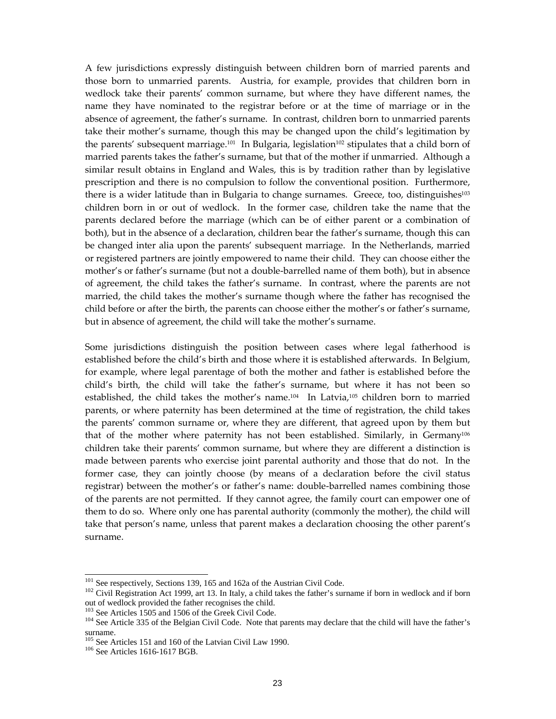A few jurisdictions expressly distinguish between children born of married parents and those born to unmarried parents. Austria, for example, provides that children born in wedlock take their parents' common surname, but where they have different names, the name they have nominated to the registrar before or at the time of marriage or in the absence of agreement, the father's surname. In contrast, children born to unmarried parents take their mother's surname, though this may be changed upon the child's legitimation by the parents' subsequent marriage.<sup>101</sup> In Bulgaria, legislation<sup>102</sup> stipulates that a child born of married parents takes the father's surname, but that of the mother if unmarried. Although a similar result obtains in England and Wales, this is by tradition rather than by legislative prescription and there is no compulsion to follow the conventional position. Furthermore, there is a wider latitude than in Bulgaria to change surnames. Greece, too, distinguishes<sup>103</sup> children born in or out of wedlock. In the former case, children take the name that the parents declared before the marriage (which can be of either parent or a combination of both), but in the absence of a declaration, children bear the father's surname, though this can be changed inter alia upon the parents' subsequent marriage. In the Netherlands, married or registered partners are jointly empowered to name their child. They can choose either the mother's or father's surname (but not a double-barrelled name of them both), but in absence of agreement, the child takes the father's surname. In contrast, where the parents are not married, the child takes the mother's surname though where the father has recognised the child before or after the birth, the parents can choose either the mother's or father's surname, but in absence of agreement, the child will take the mother's surname.

Some jurisdictions distinguish the position between cases where legal fatherhood is established before the child's birth and those where it is established afterwards. In Belgium, for example, where legal parentage of both the mother and father is established before the child's birth, the child will take the father's surname, but where it has not been so established, the child takes the mother's name.104 In Latvia,105 children born to married parents, or where paternity has been determined at the time of registration, the child takes the parents' common surname or, where they are different, that agreed upon by them but that of the mother where paternity has not been established. Similarly, in Germany<sup>106</sup> children take their parents' common surname, but where they are different a distinction is made between parents who exercise joint parental authority and those that do not. In the former case, they can jointly choose (by means of a declaration before the civil status registrar) between the mother's or father's name: double-barrelled names combining those of the parents are not permitted. If they cannot agree, the family court can empower one of them to do so. Where only one has parental authority (commonly the mother), the child will take that person's name, unless that parent makes a declaration choosing the other parent's surname.

 $\overline{a}$ 

<sup>&</sup>lt;sup>101</sup> See respectively, Sections 139, 165 and 162a of the Austrian Civil Code.

<sup>&</sup>lt;sup>102</sup> Civil Registration Act 1999, art 13. In Italy, a child takes the father's surname if born in wedlock and if born out of wedlock provided the father recognises the child.

See Articles 1505 and 1506 of the Greek Civil Code.

<sup>&</sup>lt;sup>104</sup> See Article 335 of the Belgian Civil Code. Note that parents may declare that the child will have the father's surname.

<sup>&</sup>lt;sup>105</sup> See Articles 151 and 160 of the Latvian Civil Law 1990.

<sup>106</sup> See Articles 1616-1617 BGB.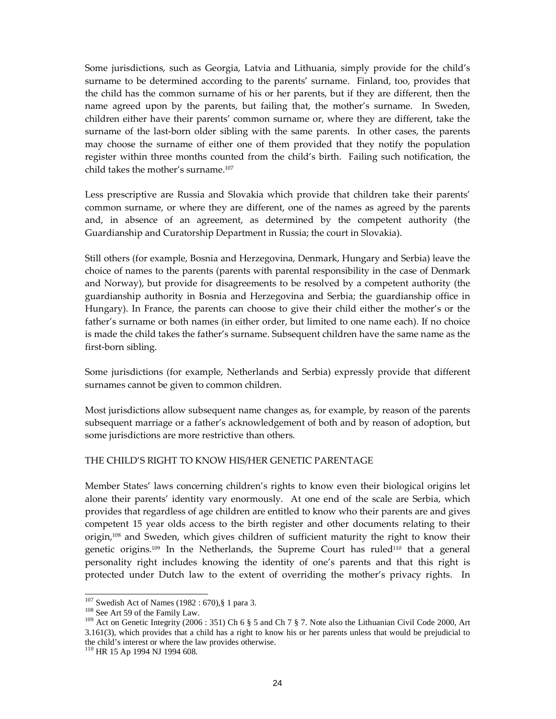Some jurisdictions, such as Georgia, Latvia and Lithuania, simply provide for the child's surname to be determined according to the parents' surname. Finland, too, provides that the child has the common surname of his or her parents, but if they are different, then the name agreed upon by the parents, but failing that, the mother's surname. In Sweden, children either have their parents' common surname or, where they are different, take the surname of the last-born older sibling with the same parents. In other cases, the parents may choose the surname of either one of them provided that they notify the population register within three months counted from the child's birth. Failing such notification, the child takes the mother's surname.<sup>107</sup>

Less prescriptive are Russia and Slovakia which provide that children take their parents' common surname, or where they are different, one of the names as agreed by the parents and, in absence of an agreement, as determined by the competent authority (the Guardianship and Curatorship Department in Russia; the court in Slovakia).

Still others (for example, Bosnia and Herzegovina, Denmark, Hungary and Serbia) leave the choice of names to the parents (parents with parental responsibility in the case of Denmark and Norway), but provide for disagreements to be resolved by a competent authority (the guardianship authority in Bosnia and Herzegovina and Serbia; the guardianship office in Hungary). In France, the parents can choose to give their child either the mother's or the father's surname or both names (in either order, but limited to one name each). If no choice is made the child takes the father's surname. Subsequent children have the same name as the first-born sibling.

Some jurisdictions (for example, Netherlands and Serbia) expressly provide that different surnames cannot be given to common children.

Most jurisdictions allow subsequent name changes as, for example, by reason of the parents subsequent marriage or a father's acknowledgement of both and by reason of adoption, but some jurisdictions are more restrictive than others.

#### THE CHILD'S RIGHT TO KNOW HIS/HER GENETIC PARENTAGE

Member States' laws concerning children's rights to know even their biological origins let alone their parents' identity vary enormously. At one end of the scale are Serbia, which provides that regardless of age children are entitled to know who their parents are and gives competent 15 year olds access to the birth register and other documents relating to their origin,108 and Sweden, which gives children of sufficient maturity the right to know their genetic origins.<sup>109</sup> In the Netherlands, the Supreme Court has ruled<sup>110</sup> that a general personality right includes knowing the identity of one's parents and that this right is protected under Dutch law to the extent of overriding the mother's privacy rights. In

<sup>&</sup>lt;sup>107</sup> Swedish Act of Names (1982 : 670), § 1 para 3.

<sup>&</sup>lt;sup>108</sup> See Art 59 of the Family Law.

<sup>109</sup> Act on Genetic Integrity (2006 : 351) Ch 6 § 5 and Ch 7 § 7. Note also the Lithuanian Civil Code 2000, Art 3.161(3), which provides that a child has a right to know his or her parents unless that would be prejudicial to the child's interest or where the law provides otherwise.

<sup>110</sup> HR 15 Ap 1994 NJ 1994 608.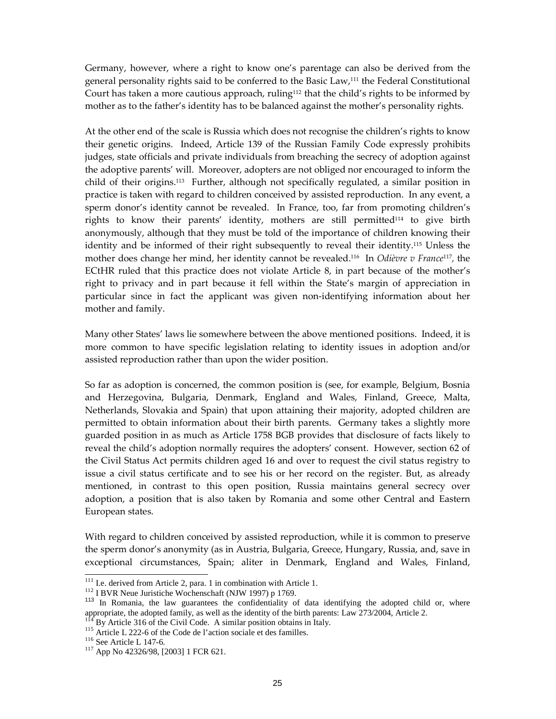Germany, however, where a right to know one's parentage can also be derived from the general personality rights said to be conferred to the Basic Law,111 the Federal Constitutional Court has taken a more cautious approach, ruling<sup>112</sup> that the child's rights to be informed by mother as to the father's identity has to be balanced against the mother's personality rights.

At the other end of the scale is Russia which does not recognise the children's rights to know their genetic origins. Indeed, Article 139 of the Russian Family Code expressly prohibits judges, state officials and private individuals from breaching the secrecy of adoption against the adoptive parents' will. Moreover, adopters are not obliged nor encouraged to inform the child of their origins.113 Further, although not specifically regulated, a similar position in practice is taken with regard to children conceived by assisted reproduction. In any event, a sperm donor's identity cannot be revealed. In France, too, far from promoting children's rights to know their parents' identity, mothers are still permitted<sup>114</sup> to give birth anonymously, although that they must be told of the importance of children knowing their identity and be informed of their right subsequently to reveal their identity.115 Unless the mother does change her mind, her identity cannot be revealed.<sup>116</sup> In *Odièvre v France*<sup>117</sup>, the ECtHR ruled that this practice does not violate Article 8, in part because of the mother's right to privacy and in part because it fell within the State's margin of appreciation in particular since in fact the applicant was given non-identifying information about her mother and family.

Many other States' laws lie somewhere between the above mentioned positions. Indeed, it is more common to have specific legislation relating to identity issues in adoption and/or assisted reproduction rather than upon the wider position.

So far as adoption is concerned, the common position is (see, for example, Belgium, Bosnia and Herzegovina, Bulgaria, Denmark, England and Wales, Finland, Greece, Malta, Netherlands, Slovakia and Spain) that upon attaining their majority, adopted children are permitted to obtain information about their birth parents. Germany takes a slightly more guarded position in as much as Article 1758 BGB provides that disclosure of facts likely to reveal the child's adoption normally requires the adopters' consent. However, section 62 of the Civil Status Act permits children aged 16 and over to request the civil status registry to issue a civil status certificate and to see his or her record on the register. But, as already mentioned, in contrast to this open position, Russia maintains general secrecy over adoption, a position that is also taken by Romania and some other Central and Eastern European states.

With regard to children conceived by assisted reproduction, while it is common to preserve the sperm donor's anonymity (as in Austria, Bulgaria, Greece, Hungary, Russia, and, save in exceptional circumstances, Spain; aliter in Denmark, England and Wales, Finland,

 $\overline{a}$ 

<sup>&</sup>lt;sup>111</sup> I.e. derived from Article 2, para. 1 in combination with Article 1.

<sup>112</sup> I BVR Neue Juristiche Wochenschaft (NJW 1997) p 1769.

<sup>&</sup>lt;sup>113</sup> In Romania, the law guarantees the confidentiality of data identifying the adopted child or, where appropriate, the adopted family, as well as the identity of the birth parents: Law 273/2004, Article 2.

By Article 316 of the Civil Code. A similar position obtains in Italy.

<sup>&</sup>lt;sup>115</sup> Article L 222-6 of the Code de l'action sociale et des familles.

<sup>&</sup>lt;sup>116</sup> See Article L 147-6.

<sup>117</sup> App No 42326/98, [2003] 1 FCR 621.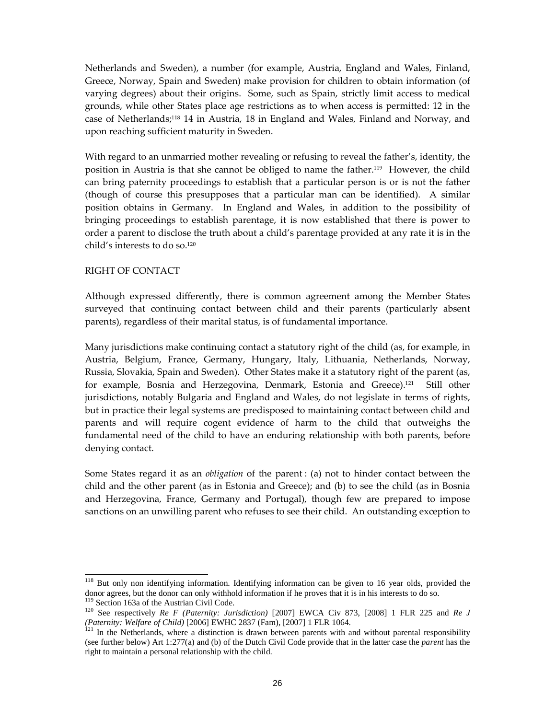Netherlands and Sweden), a number (for example, Austria, England and Wales, Finland, Greece, Norway, Spain and Sweden) make provision for children to obtain information (of varying degrees) about their origins. Some, such as Spain, strictly limit access to medical grounds, while other States place age restrictions as to when access is permitted: 12 in the case of Netherlands;118 14 in Austria, 18 in England and Wales, Finland and Norway, and upon reaching sufficient maturity in Sweden.

With regard to an unmarried mother revealing or refusing to reveal the father's, identity, the position in Austria is that she cannot be obliged to name the father.119 However, the child can bring paternity proceedings to establish that a particular person is or is not the father (though of course this presupposes that a particular man can be identified). A similar position obtains in Germany. In England and Wales, in addition to the possibility of bringing proceedings to establish parentage, it is now established that there is power to order a parent to disclose the truth about a child's parentage provided at any rate it is in the child's interests to do so.<sup>120</sup>

#### RIGHT OF CONTACT

Although expressed differently, there is common agreement among the Member States surveyed that continuing contact between child and their parents (particularly absent parents), regardless of their marital status, is of fundamental importance.

Many jurisdictions make continuing contact a statutory right of the child (as, for example, in Austria, Belgium, France, Germany, Hungary, Italy, Lithuania, Netherlands, Norway, Russia, Slovakia, Spain and Sweden). Other States make it a statutory right of the parent (as, for example, Bosnia and Herzegovina, Denmark, Estonia and Greece).<sup>121</sup> Still other jurisdictions, notably Bulgaria and England and Wales, do not legislate in terms of rights, but in practice their legal systems are predisposed to maintaining contact between child and parents and will require cogent evidence of harm to the child that outweighs the fundamental need of the child to have an enduring relationship with both parents, before denying contact.

Some States regard it as an obligation of the parent : (a) not to hinder contact between the child and the other parent (as in Estonia and Greece); and (b) to see the child (as in Bosnia and Herzegovina, France, Germany and Portugal), though few are prepared to impose sanctions on an unwilling parent who refuses to see their child. An outstanding exception to

 $\overline{a}$ 

<sup>&</sup>lt;sup>118</sup> But only non identifying information. Identifying information can be given to 16 year olds, provided the donor agrees, but the donor can only withhold information if he proves that it is in his interests to do so.

<sup>&</sup>lt;sup>119</sup> Section 163a of the Austrian Civil Code.

<sup>120</sup> See respectively *Re F (Paternity: Jurisdiction)* [2007] EWCA Civ 873, [2008] 1 FLR 225 and *Re J (Paternity: Welfare of Child)* [2006] EWHC 2837 (Fam), [2007] 1 FLR 1064.

 $121$  In the Netherlands, where a distinction is drawn between parents with and without parental responsibility (see further below) Art 1:277(a) and (b) of the Dutch Civil Code provide that in the latter case the *parent* has the right to maintain a personal relationship with the child.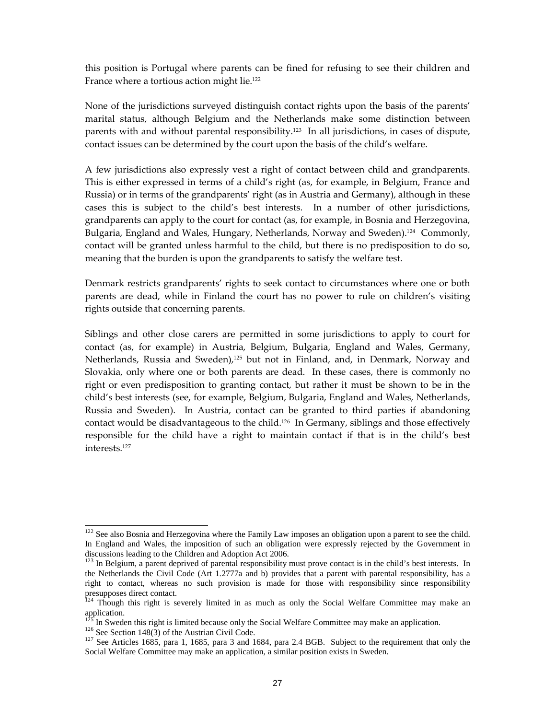this position is Portugal where parents can be fined for refusing to see their children and France where a tortious action might lie.<sup>122</sup>

None of the jurisdictions surveyed distinguish contact rights upon the basis of the parents' marital status, although Belgium and the Netherlands make some distinction between parents with and without parental responsibility.123 In all jurisdictions, in cases of dispute, contact issues can be determined by the court upon the basis of the child's welfare.

A few jurisdictions also expressly vest a right of contact between child and grandparents. This is either expressed in terms of a child's right (as, for example, in Belgium, France and Russia) or in terms of the grandparents' right (as in Austria and Germany), although in these cases this is subject to the child's best interests. In a number of other jurisdictions, grandparents can apply to the court for contact (as, for example, in Bosnia and Herzegovina, Bulgaria, England and Wales, Hungary, Netherlands, Norway and Sweden).<sup>124</sup> Commonly, contact will be granted unless harmful to the child, but there is no predisposition to do so, meaning that the burden is upon the grandparents to satisfy the welfare test.

Denmark restricts grandparents' rights to seek contact to circumstances where one or both parents are dead, while in Finland the court has no power to rule on children's visiting rights outside that concerning parents.

Siblings and other close carers are permitted in some jurisdictions to apply to court for contact (as, for example) in Austria, Belgium, Bulgaria, England and Wales, Germany, Netherlands, Russia and Sweden), $125$  but not in Finland, and, in Denmark, Norway and Slovakia, only where one or both parents are dead. In these cases, there is commonly no right or even predisposition to granting contact, but rather it must be shown to be in the child's best interests (see, for example, Belgium, Bulgaria, England and Wales, Netherlands, Russia and Sweden). In Austria, contact can be granted to third parties if abandoning contact would be disadvantageous to the child.126 In Germany, siblings and those effectively responsible for the child have a right to maintain contact if that is in the child's best interests.<sup>127</sup>

 $122$  See also Bosnia and Herzegovina where the Family Law imposes an obligation upon a parent to see the child. In England and Wales, the imposition of such an obligation were expressly rejected by the Government in discussions leading to the Children and Adoption Act 2006.

 $123$  In Belgium, a parent deprived of parental responsibility must prove contact is in the child's best interests. In the Netherlands the Civil Code (Art 1.2777a and b) provides that a parent with parental responsibility, has a right to contact, whereas no such provision is made for those with responsibility since responsibility presupposes direct contact.

 $124$  Though this right is severely limited in as much as only the Social Welfare Committee may make an application.

In Sweden this right is limited because only the Social Welfare Committee may make an application.

<sup>&</sup>lt;sup>126</sup> See Section 148(3) of the Austrian Civil Code.

 $127$  See Articles 1685, para 1, 1685, para 3 and 1684, para 2.4 BGB. Subject to the requirement that only the Social Welfare Committee may make an application, a similar position exists in Sweden.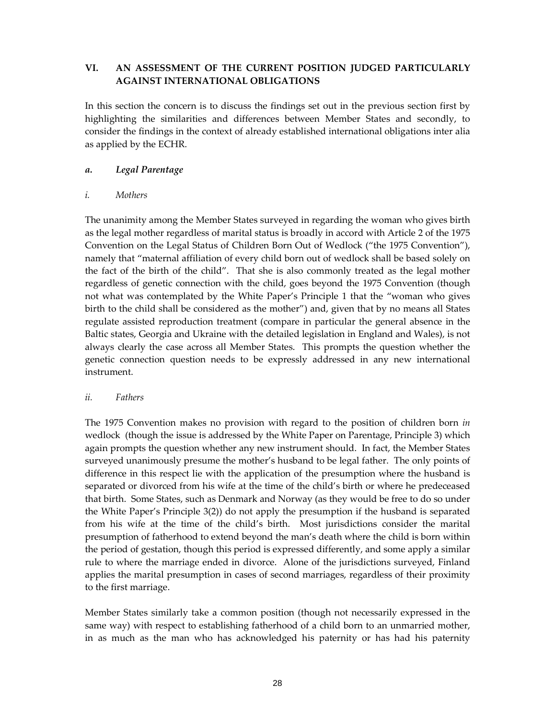## VI. AN ASSESSMENT OF THE CURRENT POSITION JUDGED PARTICULARLY AGAINST INTERNATIONAL OBLIGATIONS

In this section the concern is to discuss the findings set out in the previous section first by highlighting the similarities and differences between Member States and secondly, to consider the findings in the context of already established international obligations inter alia as applied by the ECHR.

## a. Legal Parentage

## i. Mothers

The unanimity among the Member States surveyed in regarding the woman who gives birth as the legal mother regardless of marital status is broadly in accord with Article 2 of the 1975 Convention on the Legal Status of Children Born Out of Wedlock ("the 1975 Convention"), namely that "maternal affiliation of every child born out of wedlock shall be based solely on the fact of the birth of the child". That she is also commonly treated as the legal mother regardless of genetic connection with the child, goes beyond the 1975 Convention (though not what was contemplated by the White Paper's Principle 1 that the "woman who gives birth to the child shall be considered as the mother") and, given that by no means all States regulate assisted reproduction treatment (compare in particular the general absence in the Baltic states, Georgia and Ukraine with the detailed legislation in England and Wales), is not always clearly the case across all Member States. This prompts the question whether the genetic connection question needs to be expressly addressed in any new international instrument.

## ii. Fathers

The 1975 Convention makes no provision with regard to the position of children born in wedlock (though the issue is addressed by the White Paper on Parentage, Principle 3) which again prompts the question whether any new instrument should. In fact, the Member States surveyed unanimously presume the mother's husband to be legal father. The only points of difference in this respect lie with the application of the presumption where the husband is separated or divorced from his wife at the time of the child's birth or where he predeceased that birth. Some States, such as Denmark and Norway (as they would be free to do so under the White Paper's Principle 3(2)) do not apply the presumption if the husband is separated from his wife at the time of the child's birth. Most jurisdictions consider the marital presumption of fatherhood to extend beyond the man's death where the child is born within the period of gestation, though this period is expressed differently, and some apply a similar rule to where the marriage ended in divorce. Alone of the jurisdictions surveyed, Finland applies the marital presumption in cases of second marriages, regardless of their proximity to the first marriage.

Member States similarly take a common position (though not necessarily expressed in the same way) with respect to establishing fatherhood of a child born to an unmarried mother, in as much as the man who has acknowledged his paternity or has had his paternity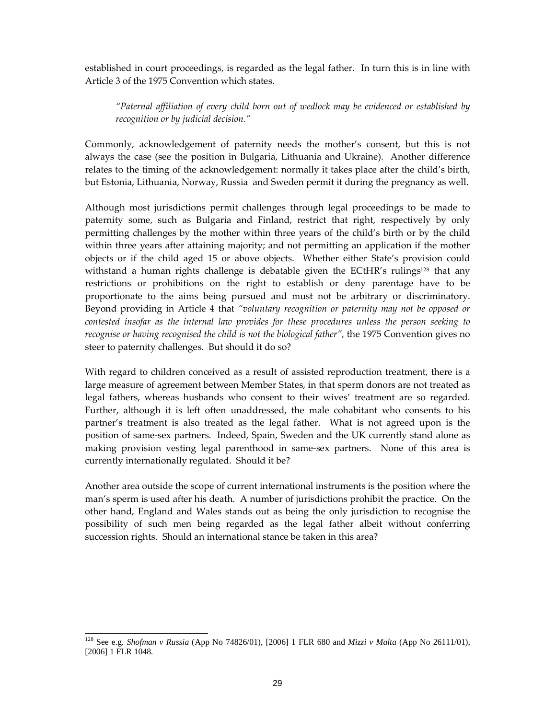established in court proceedings, is regarded as the legal father. In turn this is in line with Article 3 of the 1975 Convention which states.

"Paternal affiliation of every child born out of wedlock may be evidenced or established by recognition or by judicial decision."

Commonly, acknowledgement of paternity needs the mother's consent, but this is not always the case (see the position in Bulgaria, Lithuania and Ukraine). Another difference relates to the timing of the acknowledgement: normally it takes place after the child's birth, but Estonia, Lithuania, Norway, Russia and Sweden permit it during the pregnancy as well.

Although most jurisdictions permit challenges through legal proceedings to be made to paternity some, such as Bulgaria and Finland, restrict that right, respectively by only permitting challenges by the mother within three years of the child's birth or by the child within three years after attaining majority; and not permitting an application if the mother objects or if the child aged 15 or above objects. Whether either State's provision could withstand a human rights challenge is debatable given the ECtHR's rulings<sup>128</sup> that any restrictions or prohibitions on the right to establish or deny parentage have to be proportionate to the aims being pursued and must not be arbitrary or discriminatory. Beyond providing in Article 4 that "voluntary recognition or paternity may not be opposed or contested insofar as the internal law provides for these procedures unless the person seeking to recognise or having recognised the child is not the biological father", the 1975 Convention gives no steer to paternity challenges. But should it do so?

With regard to children conceived as a result of assisted reproduction treatment, there is a large measure of agreement between Member States, in that sperm donors are not treated as legal fathers, whereas husbands who consent to their wives' treatment are so regarded. Further, although it is left often unaddressed, the male cohabitant who consents to his partner's treatment is also treated as the legal father. What is not agreed upon is the position of same-sex partners. Indeed, Spain, Sweden and the UK currently stand alone as making provision vesting legal parenthood in same-sex partners. None of this area is currently internationally regulated. Should it be?

Another area outside the scope of current international instruments is the position where the man's sperm is used after his death. A number of jurisdictions prohibit the practice. On the other hand, England and Wales stands out as being the only jurisdiction to recognise the possibility of such men being regarded as the legal father albeit without conferring succession rights. Should an international stance be taken in this area?

<sup>-</sup><sup>128</sup> See e.g. *Shofman v Russia* (App No 74826/01), [2006] 1 FLR 680 and *Mizzi v Malta* (App No 26111/01), [2006] 1 FLR 1048.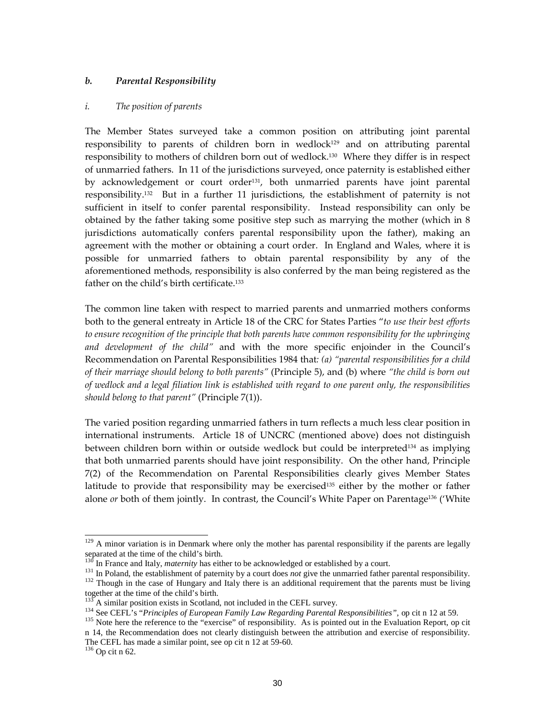### b. Parental Responsibility

#### i. The position of parents

The Member States surveyed take a common position on attributing joint parental responsibility to parents of children born in wedlock<sup>129</sup> and on attributing parental responsibility to mothers of children born out of wedlock.130 Where they differ is in respect of unmarried fathers. In 11 of the jurisdictions surveyed, once paternity is established either by acknowledgement or court order<sup>131</sup>, both unmarried parents have joint parental responsibility.132 But in a further 11 jurisdictions, the establishment of paternity is not sufficient in itself to confer parental responsibility. Instead responsibility can only be obtained by the father taking some positive step such as marrying the mother (which in 8 jurisdictions automatically confers parental responsibility upon the father), making an agreement with the mother or obtaining a court order. In England and Wales, where it is possible for unmarried fathers to obtain parental responsibility by any of the aforementioned methods, responsibility is also conferred by the man being registered as the father on the child's birth certificate.<sup>133</sup>

The common line taken with respect to married parents and unmarried mothers conforms both to the general entreaty in Article 18 of the CRC for States Parties "to use their best efforts to ensure recognition of the principle that both parents have common responsibility for the upbringing and development of the child" and with the more specific enjoinder in the Council's Recommendation on Parental Responsibilities 1984 that: (a) "parental responsibilities for a child of their marriage should belong to both parents" (Principle 5), and (b) where "the child is born out of wedlock and a legal filiation link is established with regard to one parent only, the responsibilities should belong to that parent" (Principle  $7(1)$ ).

The varied position regarding unmarried fathers in turn reflects a much less clear position in international instruments. Article 18 of UNCRC (mentioned above) does not distinguish between children born within or outside wedlock but could be interpreted<sup>134</sup> as implying that both unmarried parents should have joint responsibility. On the other hand, Principle 7(2) of the Recommendation on Parental Responsibilities clearly gives Member States latitude to provide that responsibility may be exercised<sup>135</sup> either by the mother or father alone or both of them jointly. In contrast, the Council's White Paper on Parentage<sup>136</sup> ('White

 $129$  A minor variation is in Denmark where only the mother has parental responsibility if the parents are legally separated at the time of the child's birth.

In France and Italy, *maternity* has either to be acknowledged or established by a court.

<sup>&</sup>lt;sup>131</sup> In Poland, the establishment of paternity by a court does *not* give the unmarried father parental responsibility.

<sup>&</sup>lt;sup>132</sup> Though in the case of Hungary and Italy there is an additional requirement that the parents must be living together at the time of the child's birth.

A similar position exists in Scotland, not included in the CEFL survey.

<sup>134</sup> See CEFL's "*Principles of European Family Law Regarding Parental Responsibilities",* op cit n 12 at 59.

<sup>&</sup>lt;sup>135</sup> Note here the reference to the "exercise" of responsibility. As is pointed out in the Evaluation Report, op cit n 14, the Recommendation does not clearly distinguish between the attribution and exercise of responsibility. The CEFL has made a similar point, see op cit n 12 at 59-60.

 $^{136}\,$  Op cit n 62.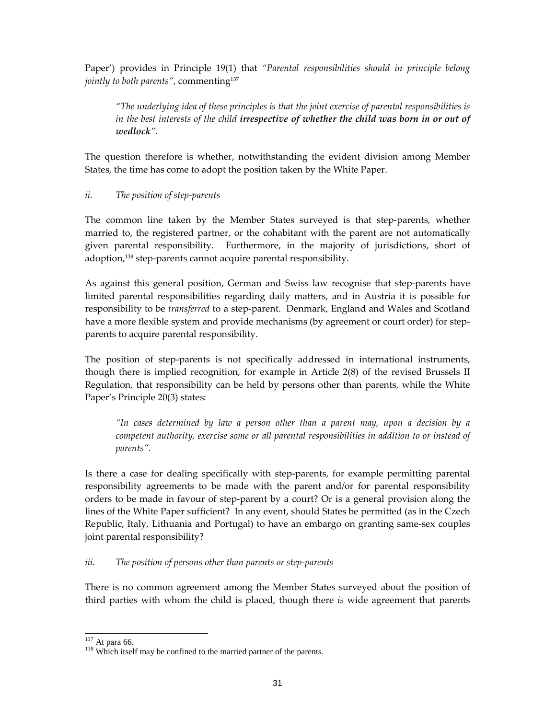Paper') provides in Principle 19(1) that "Parental responsibilities should in principle belong jointly to both parents", commenting<sup>137</sup>

"The underlying idea of these principles is that the joint exercise of parental responsibilities is in the best interests of the child irrespective of whether the child was born in or out of wedlock".

The question therefore is whether, notwithstanding the evident division among Member States, the time has come to adopt the position taken by the White Paper.

## ii. The position of step-parents

The common line taken by the Member States surveyed is that step-parents, whether married to, the registered partner, or the cohabitant with the parent are not automatically given parental responsibility. Furthermore, in the majority of jurisdictions, short of adoption,138 step-parents cannot acquire parental responsibility.

As against this general position, German and Swiss law recognise that step-parents have limited parental responsibilities regarding daily matters, and in Austria it is possible for responsibility to be *transferred* to a step-parent. Denmark, England and Wales and Scotland have a more flexible system and provide mechanisms (by agreement or court order) for stepparents to acquire parental responsibility.

The position of step-parents is not specifically addressed in international instruments, though there is implied recognition, for example in Article 2(8) of the revised Brussels II Regulation, that responsibility can be held by persons other than parents, while the White Paper's Principle 20(3) states:

"In cases determined by law a person other than a parent may, upon a decision by a competent authority, exercise some or all parental responsibilities in addition to or instead of parents".

Is there a case for dealing specifically with step-parents, for example permitting parental responsibility agreements to be made with the parent and/or for parental responsibility orders to be made in favour of step-parent by a court? Or is a general provision along the lines of the White Paper sufficient? In any event, should States be permitted (as in the Czech Republic, Italy, Lithuania and Portugal) to have an embargo on granting same-sex couples joint parental responsibility?

### iii. The position of persons other than parents or step-parents

There is no common agreement among the Member States surveyed about the position of third parties with whom the child is placed, though there is wide agreement that parents

 $137$  At para 66.

<sup>&</sup>lt;sup>138</sup> Which itself may be confined to the married partner of the parents.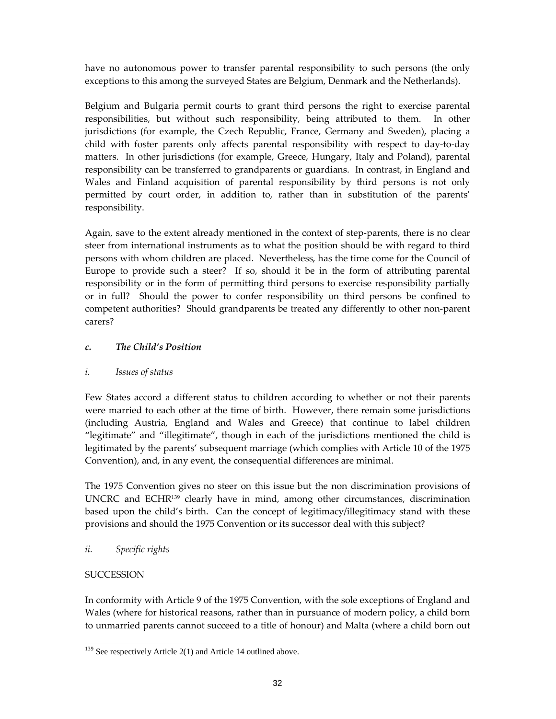have no autonomous power to transfer parental responsibility to such persons (the only exceptions to this among the surveyed States are Belgium, Denmark and the Netherlands).

Belgium and Bulgaria permit courts to grant third persons the right to exercise parental responsibilities, but without such responsibility, being attributed to them. In other jurisdictions (for example, the Czech Republic, France, Germany and Sweden), placing a child with foster parents only affects parental responsibility with respect to day-to-day matters. In other jurisdictions (for example, Greece, Hungary, Italy and Poland), parental responsibility can be transferred to grandparents or guardians. In contrast, in England and Wales and Finland acquisition of parental responsibility by third persons is not only permitted by court order, in addition to, rather than in substitution of the parents' responsibility.

Again, save to the extent already mentioned in the context of step-parents, there is no clear steer from international instruments as to what the position should be with regard to third persons with whom children are placed. Nevertheless, has the time come for the Council of Europe to provide such a steer? If so, should it be in the form of attributing parental responsibility or in the form of permitting third persons to exercise responsibility partially or in full? Should the power to confer responsibility on third persons be confined to competent authorities? Should grandparents be treated any differently to other non-parent carers?

## c. The Child's Position

## i. Issues of status

Few States accord a different status to children according to whether or not their parents were married to each other at the time of birth. However, there remain some jurisdictions (including Austria, England and Wales and Greece) that continue to label children "legitimate" and "illegitimate", though in each of the jurisdictions mentioned the child is legitimated by the parents' subsequent marriage (which complies with Article 10 of the 1975 Convention), and, in any event, the consequential differences are minimal.

The 1975 Convention gives no steer on this issue but the non discrimination provisions of UNCRC and ECHR139 clearly have in mind, among other circumstances, discrimination based upon the child's birth. Can the concept of legitimacy/illegitimacy stand with these provisions and should the 1975 Convention or its successor deal with this subject?

ii. Specific rights

## **SUCCESSION**

In conformity with Article 9 of the 1975 Convention, with the sole exceptions of England and Wales (where for historical reasons, rather than in pursuance of modern policy, a child born to unmarried parents cannot succeed to a title of honour) and Malta (where a child born out

<sup>-</sup> $139$  See respectively Article 2(1) and Article 14 outlined above.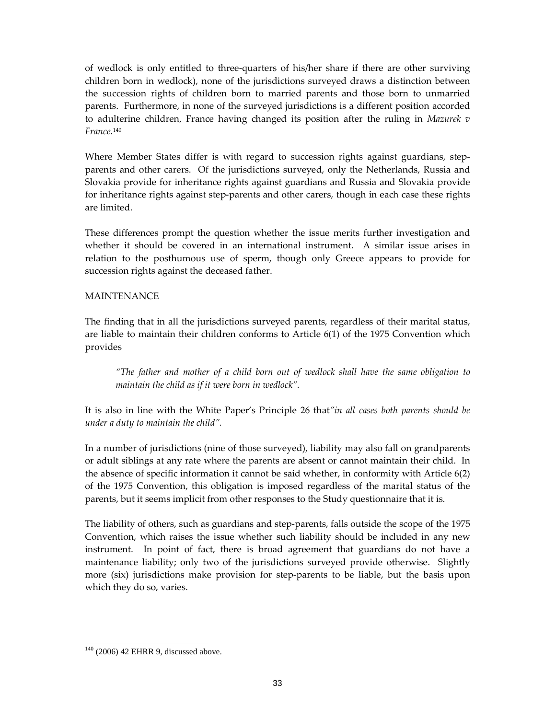of wedlock is only entitled to three-quarters of his/her share if there are other surviving children born in wedlock), none of the jurisdictions surveyed draws a distinction between the succession rights of children born to married parents and those born to unmarried parents. Furthermore, in none of the surveyed jurisdictions is a different position accorded to adulterine children, France having changed its position after the ruling in Mazurek  $v$ France.<sup>140</sup>

Where Member States differ is with regard to succession rights against guardians, stepparents and other carers. Of the jurisdictions surveyed, only the Netherlands, Russia and Slovakia provide for inheritance rights against guardians and Russia and Slovakia provide for inheritance rights against step-parents and other carers, though in each case these rights are limited.

These differences prompt the question whether the issue merits further investigation and whether it should be covered in an international instrument. A similar issue arises in relation to the posthumous use of sperm, though only Greece appears to provide for succession rights against the deceased father.

### MAINTENANCE

The finding that in all the jurisdictions surveyed parents, regardless of their marital status, are liable to maintain their children conforms to Article 6(1) of the 1975 Convention which provides

"The father and mother of a child born out of wedlock shall have the same obligation to maintain the child as if it were born in wedlock".

It is also in line with the White Paper's Principle 26 that"in all cases both parents should be under a duty to maintain the child".

In a number of jurisdictions (nine of those surveyed), liability may also fall on grandparents or adult siblings at any rate where the parents are absent or cannot maintain their child. In the absence of specific information it cannot be said whether, in conformity with Article 6(2) of the 1975 Convention, this obligation is imposed regardless of the marital status of the parents, but it seems implicit from other responses to the Study questionnaire that it is.

The liability of others, such as guardians and step-parents, falls outside the scope of the 1975 Convention, which raises the issue whether such liability should be included in any new instrument. In point of fact, there is broad agreement that guardians do not have a maintenance liability; only two of the jurisdictions surveyed provide otherwise. Slightly more (six) jurisdictions make provision for step-parents to be liable, but the basis upon which they do so, varies.

 $140$  (2006) 42 EHRR 9, discussed above.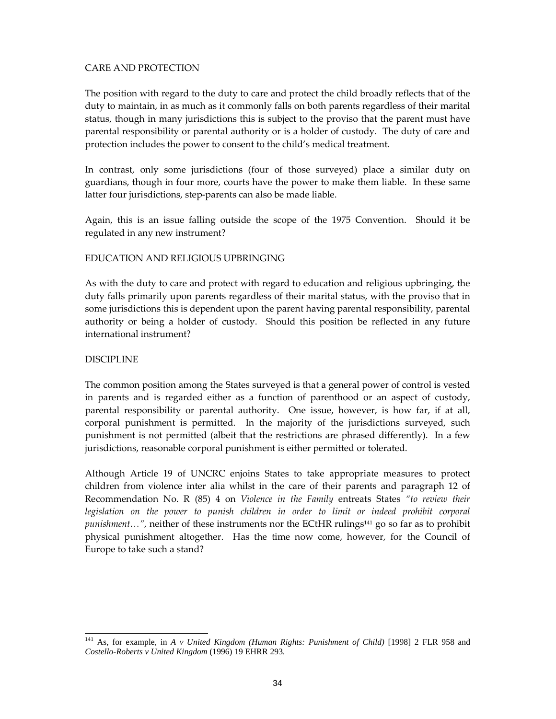## CARE AND PROTECTION

The position with regard to the duty to care and protect the child broadly reflects that of the duty to maintain, in as much as it commonly falls on both parents regardless of their marital status, though in many jurisdictions this is subject to the proviso that the parent must have parental responsibility or parental authority or is a holder of custody. The duty of care and protection includes the power to consent to the child's medical treatment.

In contrast, only some jurisdictions (four of those surveyed) place a similar duty on guardians, though in four more, courts have the power to make them liable. In these same latter four jurisdictions, step-parents can also be made liable.

Again, this is an issue falling outside the scope of the 1975 Convention. Should it be regulated in any new instrument?

## EDUCATION AND RELIGIOUS UPBRINGING

As with the duty to care and protect with regard to education and religious upbringing, the duty falls primarily upon parents regardless of their marital status, with the proviso that in some jurisdictions this is dependent upon the parent having parental responsibility, parental authority or being a holder of custody. Should this position be reflected in any future international instrument?

## DISCIPLINE

The common position among the States surveyed is that a general power of control is vested in parents and is regarded either as a function of parenthood or an aspect of custody, parental responsibility or parental authority. One issue, however, is how far, if at all, corporal punishment is permitted. In the majority of the jurisdictions surveyed, such punishment is not permitted (albeit that the restrictions are phrased differently). In a few jurisdictions, reasonable corporal punishment is either permitted or tolerated.

Although Article 19 of UNCRC enjoins States to take appropriate measures to protect children from violence inter alia whilst in the care of their parents and paragraph 12 of Recommendation No. R (85) 4 on Violence in the Family entreats States "to review their legislation on the power to punish children in order to limit or indeed prohibit corporal punishment...", neither of these instruments nor the ECtHR rulings<sup>141</sup> go so far as to prohibit physical punishment altogether. Has the time now come, however, for the Council of Europe to take such a stand?

<sup>-</sup><sup>141</sup> As, for example, in *A v United Kingdom (Human Rights: Punishment of Child)* [1998] 2 FLR 958 and *Costello-Roberts v United Kingdom* (1996) 19 EHRR 293.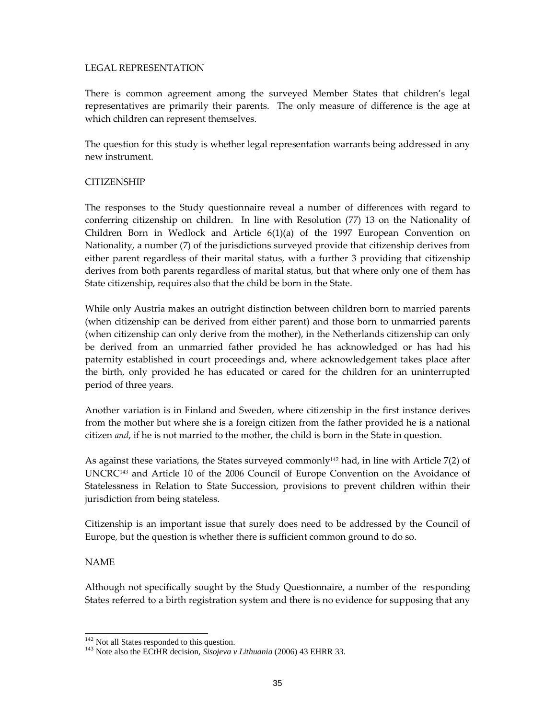### LEGAL REPRESENTATION

There is common agreement among the surveyed Member States that children's legal representatives are primarily their parents. The only measure of difference is the age at which children can represent themselves.

The question for this study is whether legal representation warrants being addressed in any new instrument.

## **CITIZENSHIP**

The responses to the Study questionnaire reveal a number of differences with regard to conferring citizenship on children. In line with Resolution (77) 13 on the Nationality of Children Born in Wedlock and Article 6(1)(a) of the 1997 European Convention on Nationality, a number (7) of the jurisdictions surveyed provide that citizenship derives from either parent regardless of their marital status, with a further 3 providing that citizenship derives from both parents regardless of marital status, but that where only one of them has State citizenship, requires also that the child be born in the State.

While only Austria makes an outright distinction between children born to married parents (when citizenship can be derived from either parent) and those born to unmarried parents (when citizenship can only derive from the mother), in the Netherlands citizenship can only be derived from an unmarried father provided he has acknowledged or has had his paternity established in court proceedings and, where acknowledgement takes place after the birth, only provided he has educated or cared for the children for an uninterrupted period of three years.

Another variation is in Finland and Sweden, where citizenship in the first instance derives from the mother but where she is a foreign citizen from the father provided he is a national citizen *and*, if he is not married to the mother, the child is born in the State in question.

As against these variations, the States surveyed commonly<sup>142</sup> had, in line with Article  $7(2)$  of UNCRC143 and Article 10 of the 2006 Council of Europe Convention on the Avoidance of Statelessness in Relation to State Succession, provisions to prevent children within their jurisdiction from being stateless.

Citizenship is an important issue that surely does need to be addressed by the Council of Europe, but the question is whether there is sufficient common ground to do so.

### NAME

-

Although not specifically sought by the Study Questionnaire, a number of the responding States referred to a birth registration system and there is no evidence for supposing that any

<sup>&</sup>lt;sup>142</sup> Not all States responded to this question.

<sup>&</sup>lt;sup>143</sup> Note also the ECtHR decision, *Sisojeva v Lithuania* (2006) 43 EHRR 33.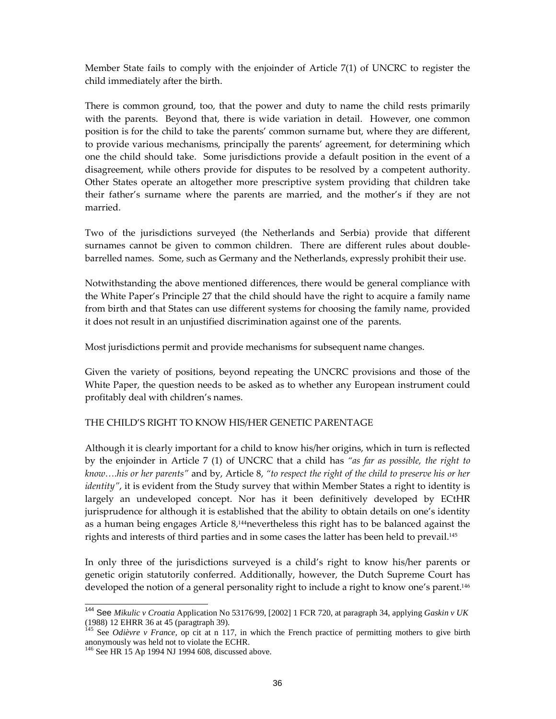Member State fails to comply with the enjoinder of Article 7(1) of UNCRC to register the child immediately after the birth.

There is common ground, too, that the power and duty to name the child rests primarily with the parents. Beyond that, there is wide variation in detail. However, one common position is for the child to take the parents' common surname but, where they are different, to provide various mechanisms, principally the parents' agreement, for determining which one the child should take. Some jurisdictions provide a default position in the event of a disagreement, while others provide for disputes to be resolved by a competent authority. Other States operate an altogether more prescriptive system providing that children take their father's surname where the parents are married, and the mother's if they are not married.

Two of the jurisdictions surveyed (the Netherlands and Serbia) provide that different surnames cannot be given to common children. There are different rules about doublebarrelled names. Some, such as Germany and the Netherlands, expressly prohibit their use.

Notwithstanding the above mentioned differences, there would be general compliance with the White Paper's Principle 27 that the child should have the right to acquire a family name from birth and that States can use different systems for choosing the family name, provided it does not result in an unjustified discrimination against one of the parents.

Most jurisdictions permit and provide mechanisms for subsequent name changes.

Given the variety of positions, beyond repeating the UNCRC provisions and those of the White Paper, the question needs to be asked as to whether any European instrument could profitably deal with children's names.

### THE CHILD'S RIGHT TO KNOW HIS/HER GENETIC PARENTAGE

Although it is clearly important for a child to know his/her origins, which in turn is reflected by the enjoinder in Article 7 (1) of UNCRC that a child has "as far as possible, the right to know….his or her parents" and by, Article 8, "to respect the right of the child to preserve his or her identity", it is evident from the Study survey that within Member States a right to identity is largely an undeveloped concept. Nor has it been definitively developed by ECtHR jurisprudence for although it is established that the ability to obtain details on one's identity as a human being engages Article  $8<sup>144</sup>$ nevertheless this right has to be balanced against the rights and interests of third parties and in some cases the latter has been held to prevail.<sup>145</sup>

In only three of the jurisdictions surveyed is a child's right to know his/her parents or genetic origin statutorily conferred. Additionally, however, the Dutch Supreme Court has developed the notion of a general personality right to include a right to know one's parent.<sup>146</sup>

<sup>144</sup> See *Mikulic v Croatia* Application No 53176/99, [2002] 1 FCR 720, at paragraph 34, applying *Gaskin v UK* (1988) 12 EHRR 36 at 45 (paragtraph 39).

<sup>&</sup>lt;sup>145</sup> See *Odièvre v France*, op cit at n 117, in which the French practice of permitting mothers to give birth anonymously was held not to violate the ECHR.

<sup>&</sup>lt;sup>146</sup> See HR 15 Ap 1994 NJ 1994 608, discussed above.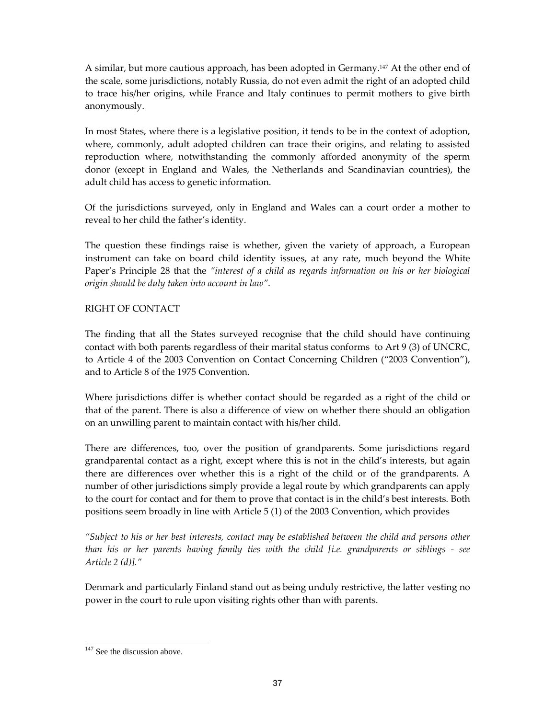A similar, but more cautious approach, has been adopted in Germany.<sup>147</sup> At the other end of the scale, some jurisdictions, notably Russia, do not even admit the right of an adopted child to trace his/her origins, while France and Italy continues to permit mothers to give birth anonymously.

In most States, where there is a legislative position, it tends to be in the context of adoption, where, commonly, adult adopted children can trace their origins, and relating to assisted reproduction where, notwithstanding the commonly afforded anonymity of the sperm donor (except in England and Wales, the Netherlands and Scandinavian countries), the adult child has access to genetic information.

Of the jurisdictions surveyed, only in England and Wales can a court order a mother to reveal to her child the father's identity.

The question these findings raise is whether, given the variety of approach, a European instrument can take on board child identity issues, at any rate, much beyond the White Paper's Principle 28 that the "interest of a child as regards information on his or her biological origin should be duly taken into account in law".

## RIGHT OF CONTACT

The finding that all the States surveyed recognise that the child should have continuing contact with both parents regardless of their marital status conforms to Art 9 (3) of UNCRC, to Article 4 of the 2003 Convention on Contact Concerning Children ("2003 Convention"), and to Article 8 of the 1975 Convention.

Where jurisdictions differ is whether contact should be regarded as a right of the child or that of the parent. There is also a difference of view on whether there should an obligation on an unwilling parent to maintain contact with his/her child.

There are differences, too, over the position of grandparents. Some jurisdictions regard grandparental contact as a right, except where this is not in the child's interests, but again there are differences over whether this is a right of the child or of the grandparents. A number of other jurisdictions simply provide a legal route by which grandparents can apply to the court for contact and for them to prove that contact is in the child's best interests. Both positions seem broadly in line with Article 5 (1) of the 2003 Convention, which provides

"Subject to his or her best interests, contact may be established between the child and persons other than his or her parents having family ties with the child [i.e. grandparents or siblings - see Article 2 (d)]."

Denmark and particularly Finland stand out as being unduly restrictive, the latter vesting no power in the court to rule upon visiting rights other than with parents.

<sup>-</sup><sup>147</sup> See the discussion above.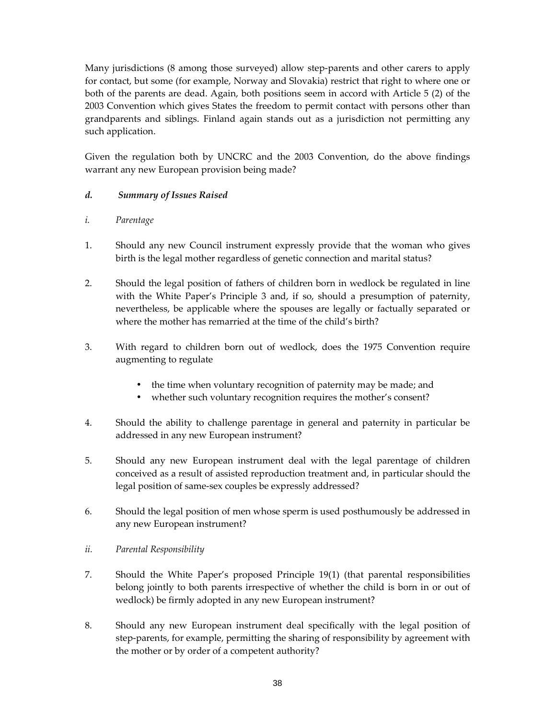Many jurisdictions (8 among those surveyed) allow step-parents and other carers to apply for contact, but some (for example, Norway and Slovakia) restrict that right to where one or both of the parents are dead. Again, both positions seem in accord with Article 5 (2) of the 2003 Convention which gives States the freedom to permit contact with persons other than grandparents and siblings. Finland again stands out as a jurisdiction not permitting any such application.

Given the regulation both by UNCRC and the 2003 Convention, do the above findings warrant any new European provision being made?

- d. Summary of Issues Raised
- i. Parentage
- 1. Should any new Council instrument expressly provide that the woman who gives birth is the legal mother regardless of genetic connection and marital status?
- 2. Should the legal position of fathers of children born in wedlock be regulated in line with the White Paper's Principle 3 and, if so, should a presumption of paternity, nevertheless, be applicable where the spouses are legally or factually separated or where the mother has remarried at the time of the child's birth?
- 3. With regard to children born out of wedlock, does the 1975 Convention require augmenting to regulate
	- the time when voluntary recognition of paternity may be made; and
	- whether such voluntary recognition requires the mother's consent?
- 4. Should the ability to challenge parentage in general and paternity in particular be addressed in any new European instrument?
- 5. Should any new European instrument deal with the legal parentage of children conceived as a result of assisted reproduction treatment and, in particular should the legal position of same-sex couples be expressly addressed?
- 6. Should the legal position of men whose sperm is used posthumously be addressed in any new European instrument?
- ii. Parental Responsibility
- 7. Should the White Paper's proposed Principle 19(1) (that parental responsibilities belong jointly to both parents irrespective of whether the child is born in or out of wedlock) be firmly adopted in any new European instrument?
- 8. Should any new European instrument deal specifically with the legal position of step-parents, for example, permitting the sharing of responsibility by agreement with the mother or by order of a competent authority?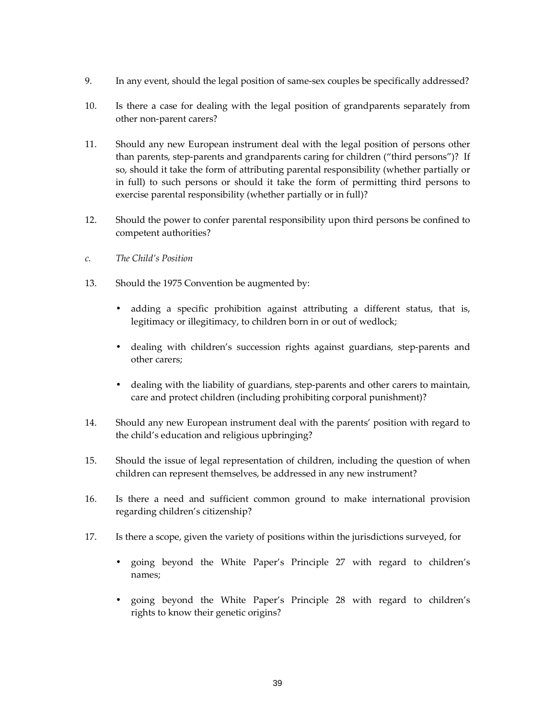- 9. In any event, should the legal position of same-sex couples be specifically addressed?
- 10. Is there a case for dealing with the legal position of grandparents separately from other non-parent carers?
- 11. Should any new European instrument deal with the legal position of persons other than parents, step-parents and grandparents caring for children ("third persons")? If so, should it take the form of attributing parental responsibility (whether partially or in full) to such persons or should it take the form of permitting third persons to exercise parental responsibility (whether partially or in full)?
- 12. Should the power to confer parental responsibility upon third persons be confined to competent authorities?
- c. The Child's Position
- 13. Should the 1975 Convention be augmented by:
	- adding a specific prohibition against attributing a different status, that is, legitimacy or illegitimacy, to children born in or out of wedlock;
	- dealing with children's succession rights against guardians, step-parents and other carers;
	- dealing with the liability of guardians, step-parents and other carers to maintain, care and protect children (including prohibiting corporal punishment)?
- 14. Should any new European instrument deal with the parents' position with regard to the child's education and religious upbringing?
- 15. Should the issue of legal representation of children, including the question of when children can represent themselves, be addressed in any new instrument?
- 16. Is there a need and sufficient common ground to make international provision regarding children's citizenship?
- 17. Is there a scope, given the variety of positions within the jurisdictions surveyed, for
	- going beyond the White Paper's Principle 27 with regard to children's names;
	- going beyond the White Paper's Principle 28 with regard to children's rights to know their genetic origins?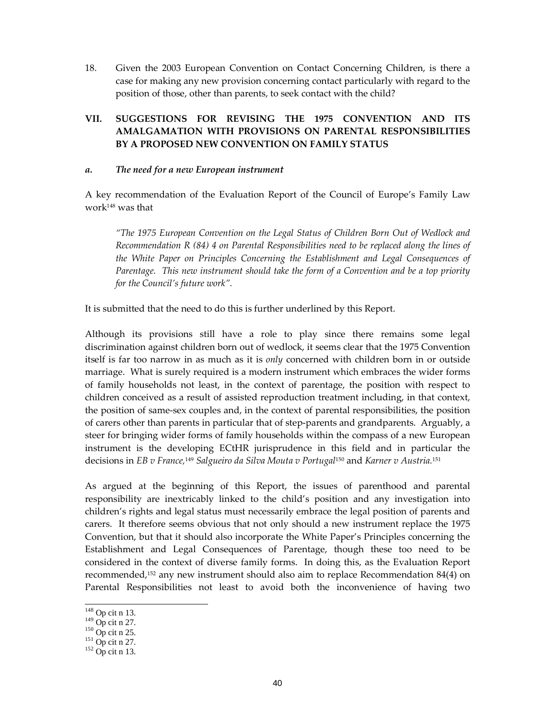18. Given the 2003 European Convention on Contact Concerning Children, is there a case for making any new provision concerning contact particularly with regard to the position of those, other than parents, to seek contact with the child?

## VII. SUGGESTIONS FOR REVISING THE 1975 CONVENTION AND ITS AMALGAMATION WITH PROVISIONS ON PARENTAL RESPONSIBILITIES BY A PROPOSED NEW CONVENTION ON FAMILY STATUS

#### a. The need for a new European instrument

A key recommendation of the Evaluation Report of the Council of Europe's Family Law work148 was that

"The 1975 European Convention on the Legal Status of Children Born Out of Wedlock and Recommendation R (84) 4 on Parental Responsibilities need to be replaced along the lines of the White Paper on Principles Concerning the Establishment and Legal Consequences of Parentage. This new instrument should take the form of a Convention and be a top priority for the Council's future work".

It is submitted that the need to do this is further underlined by this Report.

Although its provisions still have a role to play since there remains some legal discrimination against children born out of wedlock, it seems clear that the 1975 Convention itself is far too narrow in as much as it is *only* concerned with children born in or outside marriage. What is surely required is a modern instrument which embraces the wider forms of family households not least, in the context of parentage, the position with respect to children conceived as a result of assisted reproduction treatment including, in that context, the position of same-sex couples and, in the context of parental responsibilities, the position of carers other than parents in particular that of step-parents and grandparents. Arguably, a steer for bringing wider forms of family households within the compass of a new European instrument is the developing ECtHR jurisprudence in this field and in particular the decisions in EB v France,<sup>149</sup> Salgueiro da Silva Mouta v Portugal<sup>150</sup> and Karner v Austria.<sup>151</sup>

As argued at the beginning of this Report, the issues of parenthood and parental responsibility are inextricably linked to the child's position and any investigation into children's rights and legal status must necessarily embrace the legal position of parents and carers. It therefore seems obvious that not only should a new instrument replace the 1975 Convention, but that it should also incorporate the White Paper's Principles concerning the Establishment and Legal Consequences of Parentage, though these too need to be considered in the context of diverse family forms. In doing this, as the Evaluation Report recommended,152 any new instrument should also aim to replace Recommendation 84(4) on Parental Responsibilities not least to avoid both the inconvenience of having two

 $148$  Op cit n 13.

 $149$  Op cit n 27.

 $150$  Op cit n 25.

 $151$  Op cit n 27.

 $152$  Op cit n 13.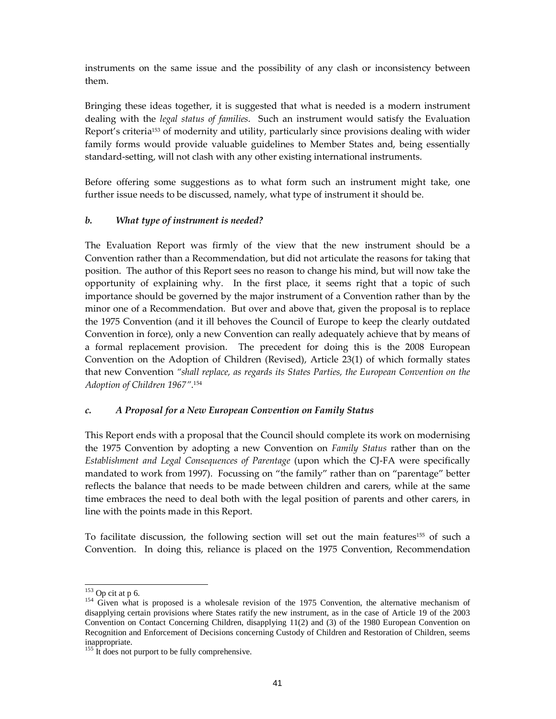instruments on the same issue and the possibility of any clash or inconsistency between them.

Bringing these ideas together, it is suggested that what is needed is a modern instrument dealing with the legal status of families. Such an instrument would satisfy the Evaluation Report's criteria153 of modernity and utility, particularly since provisions dealing with wider family forms would provide valuable guidelines to Member States and, being essentially standard-setting, will not clash with any other existing international instruments.

Before offering some suggestions as to what form such an instrument might take, one further issue needs to be discussed, namely, what type of instrument it should be.

## b. What type of instrument is needed?

The Evaluation Report was firmly of the view that the new instrument should be a Convention rather than a Recommendation, but did not articulate the reasons for taking that position. The author of this Report sees no reason to change his mind, but will now take the opportunity of explaining why. In the first place, it seems right that a topic of such importance should be governed by the major instrument of a Convention rather than by the minor one of a Recommendation. But over and above that, given the proposal is to replace the 1975 Convention (and it ill behoves the Council of Europe to keep the clearly outdated Convention in force), only a new Convention can really adequately achieve that by means of a formal replacement provision. The precedent for doing this is the 2008 European Convention on the Adoption of Children (Revised), Article 23(1) of which formally states that new Convention "shall replace, as regards its States Parties, the European Convention on the Adoption of Children 1967". 154

### c. A Proposal for a New European Convention on Family Status

This Report ends with a proposal that the Council should complete its work on modernising the 1975 Convention by adopting a new Convention on *Family Status* rather than on the Establishment and Legal Consequences of Parentage (upon which the CJ-FA were specifically mandated to work from 1997). Focussing on "the family" rather than on "parentage" better reflects the balance that needs to be made between children and carers, while at the same time embraces the need to deal both with the legal position of parents and other carers, in line with the points made in this Report.

To facilitate discussion, the following section will set out the main features155 of such a Convention. In doing this, reliance is placed on the 1975 Convention, Recommendation

<sup>-</sup> $153$  Op cit at p 6.

<sup>&</sup>lt;sup>154</sup> Given what is proposed is a wholesale revision of the 1975 Convention, the alternative mechanism of disapplying certain provisions where States ratify the new instrument, as in the case of Article 19 of the 2003 Convention on Contact Concerning Children, disapplying 11(2) and (3) of the 1980 European Convention on Recognition and Enforcement of Decisions concerning Custody of Children and Restoration of Children, seems inappropriate.

<sup>&</sup>lt;sup>155</sup> It does not purport to be fully comprehensive.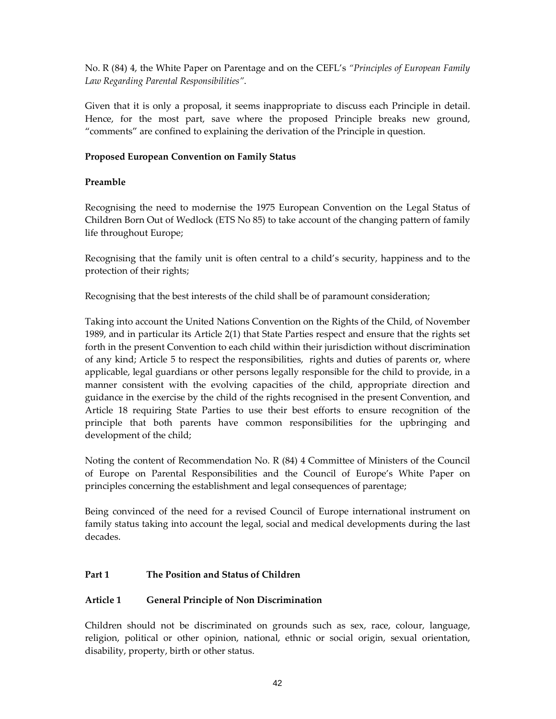No. R (84) 4, the White Paper on Parentage and on the CEFL's "Principles of European Family Law Regarding Parental Responsibilities".

Given that it is only a proposal, it seems inappropriate to discuss each Principle in detail. Hence, for the most part, save where the proposed Principle breaks new ground, "comments" are confined to explaining the derivation of the Principle in question.

## Proposed European Convention on Family Status

## Preamble

Recognising the need to modernise the 1975 European Convention on the Legal Status of Children Born Out of Wedlock (ETS No 85) to take account of the changing pattern of family life throughout Europe;

Recognising that the family unit is often central to a child's security, happiness and to the protection of their rights;

Recognising that the best interests of the child shall be of paramount consideration;

Taking into account the United Nations Convention on the Rights of the Child, of November 1989, and in particular its Article 2(1) that State Parties respect and ensure that the rights set forth in the present Convention to each child within their jurisdiction without discrimination of any kind; Article 5 to respect the responsibilities, rights and duties of parents or, where applicable, legal guardians or other persons legally responsible for the child to provide, in a manner consistent with the evolving capacities of the child, appropriate direction and guidance in the exercise by the child of the rights recognised in the present Convention, and Article 18 requiring State Parties to use their best efforts to ensure recognition of the principle that both parents have common responsibilities for the upbringing and development of the child;

Noting the content of Recommendation No. R (84) 4 Committee of Ministers of the Council of Europe on Parental Responsibilities and the Council of Europe's White Paper on principles concerning the establishment and legal consequences of parentage;

Being convinced of the need for a revised Council of Europe international instrument on family status taking into account the legal, social and medical developments during the last decades.

## Part 1 The Position and Status of Children

## Article 1 General Principle of Non Discrimination

Children should not be discriminated on grounds such as sex, race, colour, language, religion, political or other opinion, national, ethnic or social origin, sexual orientation, disability, property, birth or other status.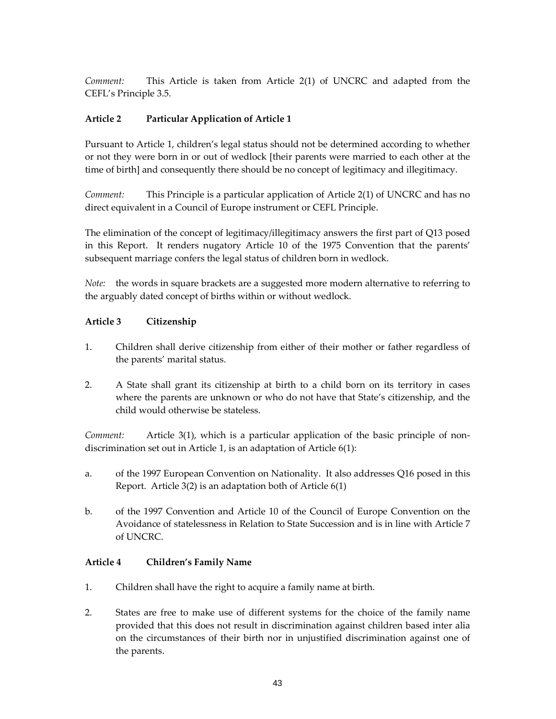Comment: This Article is taken from Article 2(1) of UNCRC and adapted from the CEFL's Principle 3.5.

## Article 2 Particular Application of Article 1

Pursuant to Article 1, children's legal status should not be determined according to whether or not they were born in or out of wedlock [their parents were married to each other at the time of birth] and consequently there should be no concept of legitimacy and illegitimacy.

Comment: This Principle is a particular application of Article 2(1) of UNCRC and has no direct equivalent in a Council of Europe instrument or CEFL Principle.

The elimination of the concept of legitimacy/illegitimacy answers the first part of Q13 posed in this Report. It renders nugatory Article 10 of the 1975 Convention that the parents' subsequent marriage confers the legal status of children born in wedlock.

Note: the words in square brackets are a suggested more modern alternative to referring to the arguably dated concept of births within or without wedlock.

## Article 3 Citizenship

- 1. Children shall derive citizenship from either of their mother or father regardless of the parents' marital status.
- 2. A State shall grant its citizenship at birth to a child born on its territory in cases where the parents are unknown or who do not have that State's citizenship, and the child would otherwise be stateless.

Comment: Article 3(1), which is a particular application of the basic principle of nondiscrimination set out in Article 1, is an adaptation of Article 6(1):

- a. of the 1997 European Convention on Nationality. It also addresses Q16 posed in this Report. Article 3(2) is an adaptation both of Article 6(1)
- b. of the 1997 Convention and Article 10 of the Council of Europe Convention on the Avoidance of statelessness in Relation to State Succession and is in line with Article 7 of UNCRC.

### Article 4 Children's Family Name

- 1. Children shall have the right to acquire a family name at birth.
- 2. States are free to make use of different systems for the choice of the family name provided that this does not result in discrimination against children based inter alia on the circumstances of their birth nor in unjustified discrimination against one of the parents.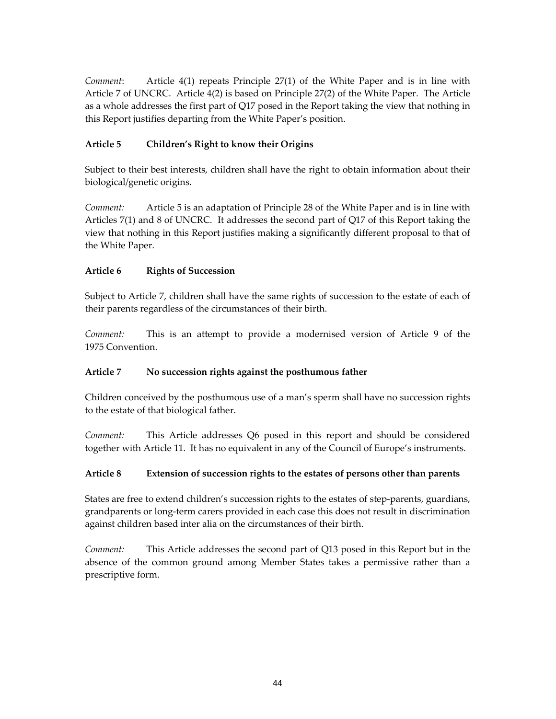Comment: Article 4(1) repeats Principle 27(1) of the White Paper and is in line with Article 7 of UNCRC. Article 4(2) is based on Principle 27(2) of the White Paper. The Article as a whole addresses the first part of Q17 posed in the Report taking the view that nothing in this Report justifies departing from the White Paper's position.

## Article 5 Children's Right to know their Origins

Subject to their best interests, children shall have the right to obtain information about their biological/genetic origins.

Comment: Article 5 is an adaptation of Principle 28 of the White Paper and is in line with Articles 7(1) and 8 of UNCRC. It addresses the second part of Q17 of this Report taking the view that nothing in this Report justifies making a significantly different proposal to that of the White Paper.

## Article 6 Rights of Succession

Subject to Article 7, children shall have the same rights of succession to the estate of each of their parents regardless of the circumstances of their birth.

Comment: This is an attempt to provide a modernised version of Article 9 of the 1975 Convention.

## Article 7 No succession rights against the posthumous father

Children conceived by the posthumous use of a man's sperm shall have no succession rights to the estate of that biological father.

Comment: This Article addresses Q6 posed in this report and should be considered together with Article 11. It has no equivalent in any of the Council of Europe's instruments.

## Article 8 Extension of succession rights to the estates of persons other than parents

States are free to extend children's succession rights to the estates of step-parents, guardians, grandparents or long-term carers provided in each case this does not result in discrimination against children based inter alia on the circumstances of their birth.

Comment: This Article addresses the second part of Q13 posed in this Report but in the absence of the common ground among Member States takes a permissive rather than a prescriptive form.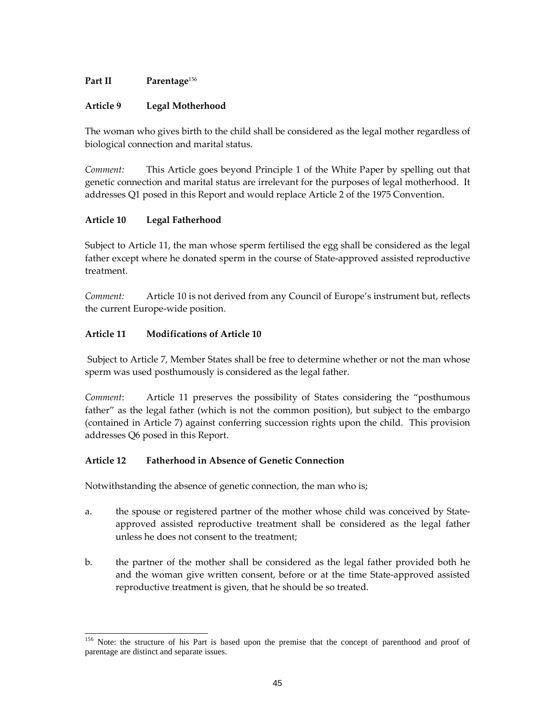## Part II Parentage<sup>156</sup>

## Article 9 Legal Motherhood

The woman who gives birth to the child shall be considered as the legal mother regardless of biological connection and marital status.

Comment: This Article goes beyond Principle 1 of the White Paper by spelling out that genetic connection and marital status are irrelevant for the purposes of legal motherhood. It addresses Q1 posed in this Report and would replace Article 2 of the 1975 Convention.

## Article 10 Legal Fatherhood

Subject to Article 11, the man whose sperm fertilised the egg shall be considered as the legal father except where he donated sperm in the course of State-approved assisted reproductive treatment.

Comment: Article 10 is not derived from any Council of Europe's instrument but, reflects the current Europe-wide position.

## Article 11 Modifications of Article 10

-

 Subject to Article 7, Member States shall be free to determine whether or not the man whose sperm was used posthumously is considered as the legal father.

Comment: Article 11 preserves the possibility of States considering the "posthumous father" as the legal father (which is not the common position), but subject to the embargo (contained in Article 7) against conferring succession rights upon the child. This provision addresses Q6 posed in this Report.

### Article 12 Fatherhood in Absence of Genetic Connection

Notwithstanding the absence of genetic connection, the man who is;

- a. the spouse or registered partner of the mother whose child was conceived by Stateapproved assisted reproductive treatment shall be considered as the legal father unless he does not consent to the treatment;
- b. the partner of the mother shall be considered as the legal father provided both he and the woman give written consent, before or at the time State-approved assisted reproductive treatment is given, that he should be so treated.

<sup>&</sup>lt;sup>156</sup> Note: the structure of his Part is based upon the premise that the concept of parenthood and proof of parentage are distinct and separate issues.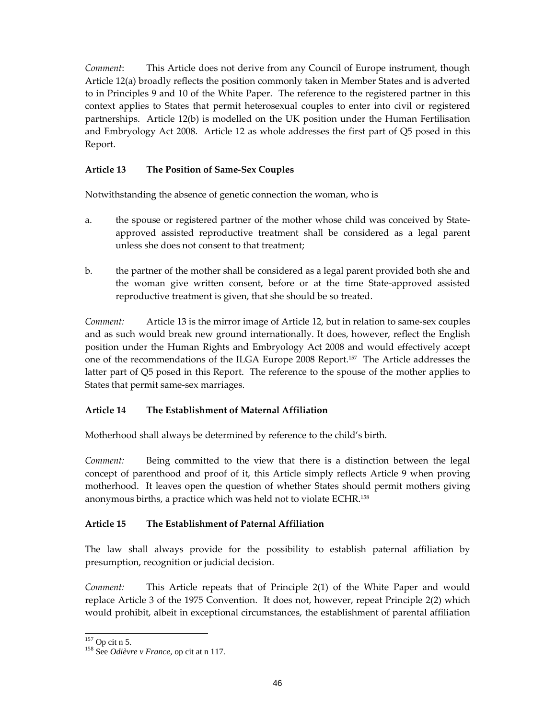Comment: This Article does not derive from any Council of Europe instrument, though Article 12(a) broadly reflects the position commonly taken in Member States and is adverted to in Principles 9 and 10 of the White Paper. The reference to the registered partner in this context applies to States that permit heterosexual couples to enter into civil or registered partnerships. Article 12(b) is modelled on the UK position under the Human Fertilisation and Embryology Act 2008. Article 12 as whole addresses the first part of Q5 posed in this Report.

## Article 13 The Position of Same-Sex Couples

Notwithstanding the absence of genetic connection the woman, who is

- a. the spouse or registered partner of the mother whose child was conceived by Stateapproved assisted reproductive treatment shall be considered as a legal parent unless she does not consent to that treatment;
- b. the partner of the mother shall be considered as a legal parent provided both she and the woman give written consent, before or at the time State-approved assisted reproductive treatment is given, that she should be so treated.

Comment: Article 13 is the mirror image of Article 12, but in relation to same-sex couples and as such would break new ground internationally. It does, however, reflect the English position under the Human Rights and Embryology Act 2008 and would effectively accept one of the recommendations of the ILGA Europe 2008 Report.157 The Article addresses the latter part of Q5 posed in this Report. The reference to the spouse of the mother applies to States that permit same-sex marriages.

## Article 14 The Establishment of Maternal Affiliation

Motherhood shall always be determined by reference to the child's birth.

Comment: Being committed to the view that there is a distinction between the legal concept of parenthood and proof of it, this Article simply reflects Article 9 when proving motherhood. It leaves open the question of whether States should permit mothers giving anonymous births, a practice which was held not to violate ECHR.<sup>158</sup>

## Article 15 The Establishment of Paternal Affiliation

The law shall always provide for the possibility to establish paternal affiliation by presumption, recognition or judicial decision.

Comment: This Article repeats that of Principle 2(1) of the White Paper and would replace Article 3 of the 1975 Convention. It does not, however, repeat Principle 2(2) which would prohibit, albeit in exceptional circumstances, the establishment of parental affiliation

<sup>-</sup> $157$  Op cit n 5.

<sup>158</sup> See *Odièvre v France*, op cit at n 117.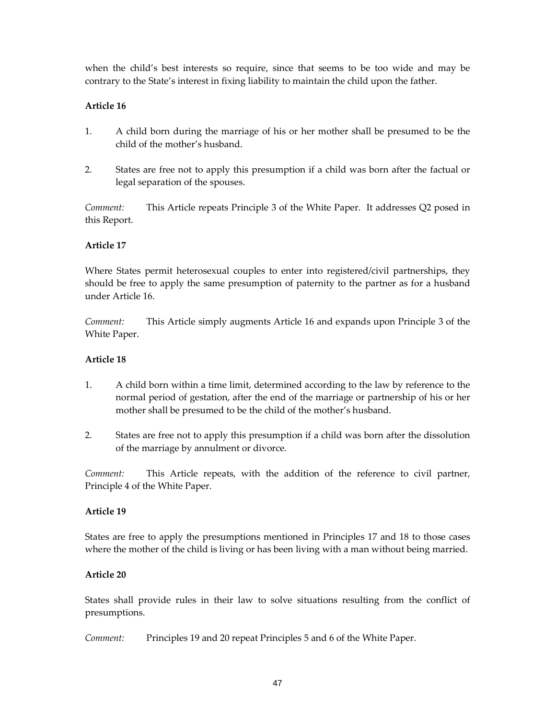when the child's best interests so require, since that seems to be too wide and may be contrary to the State's interest in fixing liability to maintain the child upon the father.

## Article 16

- 1. A child born during the marriage of his or her mother shall be presumed to be the child of the mother's husband.
- 2. States are free not to apply this presumption if a child was born after the factual or legal separation of the spouses.

Comment: This Article repeats Principle 3 of the White Paper. It addresses Q2 posed in this Report.

## Article 17

Where States permit heterosexual couples to enter into registered/civil partnerships, they should be free to apply the same presumption of paternity to the partner as for a husband under Article 16.

Comment: This Article simply augments Article 16 and expands upon Principle 3 of the White Paper.

## Article 18

- 1. A child born within a time limit, determined according to the law by reference to the normal period of gestation, after the end of the marriage or partnership of his or her mother shall be presumed to be the child of the mother's husband.
- 2. States are free not to apply this presumption if a child was born after the dissolution of the marriage by annulment or divorce.

Comment: This Article repeats, with the addition of the reference to civil partner, Principle 4 of the White Paper.

### Article 19

States are free to apply the presumptions mentioned in Principles 17 and 18 to those cases where the mother of the child is living or has been living with a man without being married.

### Article 20

States shall provide rules in their law to solve situations resulting from the conflict of presumptions.

Comment: Principles 19 and 20 repeat Principles 5 and 6 of the White Paper.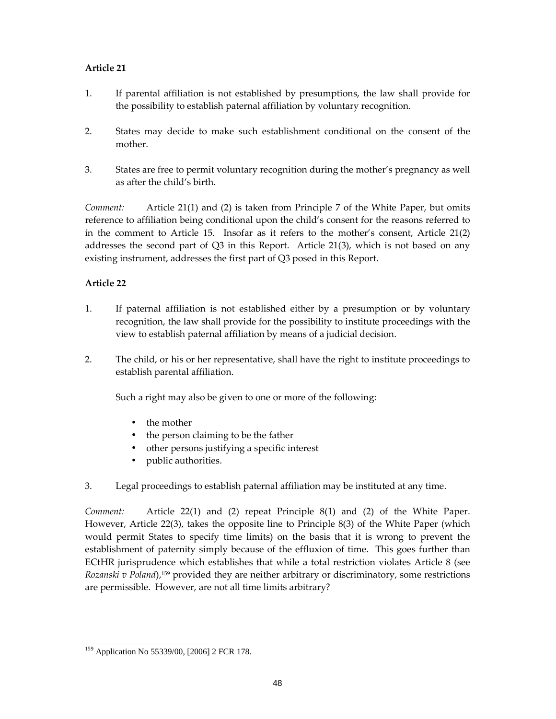## Article 21

- 1. If parental affiliation is not established by presumptions, the law shall provide for the possibility to establish paternal affiliation by voluntary recognition.
- 2. States may decide to make such establishment conditional on the consent of the mother.
- 3. States are free to permit voluntary recognition during the mother's pregnancy as well as after the child's birth.

Comment: Article 21(1) and (2) is taken from Principle 7 of the White Paper, but omits reference to affiliation being conditional upon the child's consent for the reasons referred to in the comment to Article 15. Insofar as it refers to the mother's consent, Article 21(2) addresses the second part of Q3 in this Report. Article 21(3), which is not based on any existing instrument, addresses the first part of Q3 posed in this Report.

## Article 22

- 1. If paternal affiliation is not established either by a presumption or by voluntary recognition, the law shall provide for the possibility to institute proceedings with the view to establish paternal affiliation by means of a judicial decision.
- 2. The child, or his or her representative, shall have the right to institute proceedings to establish parental affiliation.

Such a right may also be given to one or more of the following:

- the mother
- the person claiming to be the father
- other persons justifying a specific interest
- public authorities.
- 3. Legal proceedings to establish paternal affiliation may be instituted at any time.

Comment: Article 22(1) and (2) repeat Principle 8(1) and (2) of the White Paper. However, Article 22(3), takes the opposite line to Principle 8(3) of the White Paper (which would permit States to specify time limits) on the basis that it is wrong to prevent the establishment of paternity simply because of the effluxion of time. This goes further than ECtHR jurisprudence which establishes that while a total restriction violates Article 8 (see Rozanski v Poland),<sup>159</sup> provided they are neither arbitrary or discriminatory, some restrictions are permissible. However, are not all time limits arbitrary?

<sup>-</sup><sup>159</sup> Application No 55339/00, [2006] 2 FCR 178.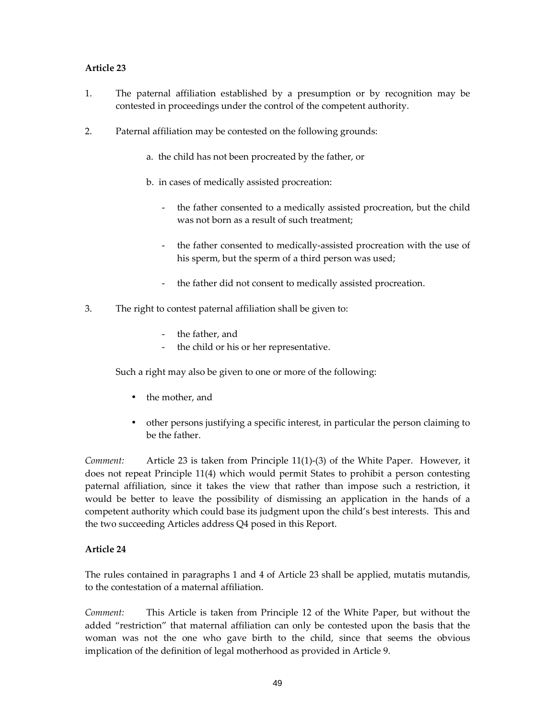## Article 23

- 1. The paternal affiliation established by a presumption or by recognition may be contested in proceedings under the control of the competent authority.
- 2. Paternal affiliation may be contested on the following grounds:
	- a. the child has not been procreated by the father, or
	- b. in cases of medically assisted procreation:
		- the father consented to a medically assisted procreation, but the child was not born as a result of such treatment;
		- the father consented to medically-assisted procreation with the use of his sperm, but the sperm of a third person was used;
		- the father did not consent to medically assisted procreation.
- 3. The right to contest paternal affiliation shall be given to:
	- the father, and
	- the child or his or her representative.

Such a right may also be given to one or more of the following:

- the mother, and
- other persons justifying a specific interest, in particular the person claiming to be the father.

Comment: Article 23 is taken from Principle 11(1)-(3) of the White Paper. However, it does not repeat Principle 11(4) which would permit States to prohibit a person contesting paternal affiliation, since it takes the view that rather than impose such a restriction, it would be better to leave the possibility of dismissing an application in the hands of a competent authority which could base its judgment upon the child's best interests. This and the two succeeding Articles address Q4 posed in this Report.

## Article 24

The rules contained in paragraphs 1 and 4 of Article 23 shall be applied, mutatis mutandis, to the contestation of a maternal affiliation.

Comment: This Article is taken from Principle 12 of the White Paper, but without the added "restriction" that maternal affiliation can only be contested upon the basis that the woman was not the one who gave birth to the child, since that seems the obvious implication of the definition of legal motherhood as provided in Article 9.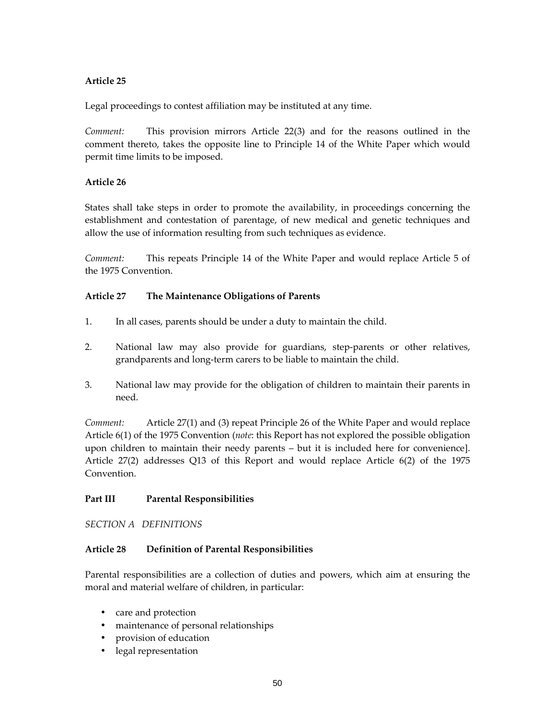## Article 25

Legal proceedings to contest affiliation may be instituted at any time.

Comment: This provision mirrors Article 22(3) and for the reasons outlined in the comment thereto, takes the opposite line to Principle 14 of the White Paper which would permit time limits to be imposed.

## Article 26

States shall take steps in order to promote the availability, in proceedings concerning the establishment and contestation of parentage, of new medical and genetic techniques and allow the use of information resulting from such techniques as evidence.

Comment: This repeats Principle 14 of the White Paper and would replace Article 5 of the 1975 Convention.

## Article 27 The Maintenance Obligations of Parents

- 1. In all cases, parents should be under a duty to maintain the child.
- 2. National law may also provide for guardians, step-parents or other relatives, grandparents and long-term carers to be liable to maintain the child.
- 3. National law may provide for the obligation of children to maintain their parents in need.

Comment: Article 27(1) and (3) repeat Principle 26 of the White Paper and would replace Article 6(1) of the 1975 Convention (*note*: this Report has not explored the possible obligation upon children to maintain their needy parents – but it is included here for convenience]. Article 27(2) addresses Q13 of this Report and would replace Article 6(2) of the 1975 Convention.

## Part III Parental Responsibilities

SECTION A DEFINITIONS

### Article 28 Definition of Parental Responsibilities

Parental responsibilities are a collection of duties and powers, which aim at ensuring the moral and material welfare of children, in particular:

- care and protection
- maintenance of personal relationships
- provision of education
- legal representation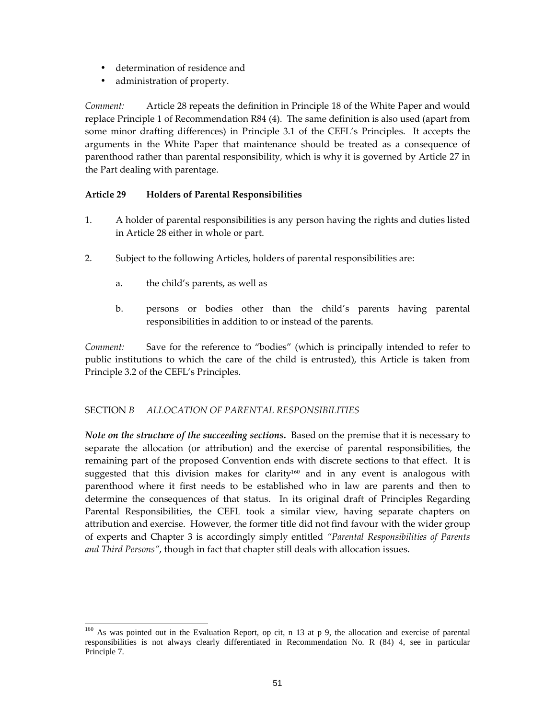- determination of residence and
- administration of property.

Comment: Article 28 repeats the definition in Principle 18 of the White Paper and would replace Principle 1 of Recommendation R84 (4). The same definition is also used (apart from some minor drafting differences) in Principle 3.1 of the CEFL's Principles. It accepts the arguments in the White Paper that maintenance should be treated as a consequence of parenthood rather than parental responsibility, which is why it is governed by Article 27 in the Part dealing with parentage.

## Article 29 Holders of Parental Responsibilities

- 1. A holder of parental responsibilities is any person having the rights and duties listed in Article 28 either in whole or part.
- 2. Subject to the following Articles, holders of parental responsibilities are:
	- a. the child's parents, as well as
	- b. persons or bodies other than the child's parents having parental responsibilities in addition to or instead of the parents.

Comment: Save for the reference to "bodies" (which is principally intended to refer to public institutions to which the care of the child is entrusted), this Article is taken from Principle 3.2 of the CEFL's Principles.

## SECTION B ALLOCATION OF PARENTAL RESPONSIBILITIES

Note on the structure of the succeeding sections. Based on the premise that it is necessary to separate the allocation (or attribution) and the exercise of parental responsibilities, the remaining part of the proposed Convention ends with discrete sections to that effect. It is suggested that this division makes for clarity<sup>160</sup> and in any event is analogous with parenthood where it first needs to be established who in law are parents and then to determine the consequences of that status. In its original draft of Principles Regarding Parental Responsibilities, the CEFL took a similar view, having separate chapters on attribution and exercise. However, the former title did not find favour with the wider group of experts and Chapter 3 is accordingly simply entitled "Parental Responsibilities of Parents and Third Persons", though in fact that chapter still deals with allocation issues.

<sup>-</sup><sup>160</sup> As was pointed out in the Evaluation Report, op cit, n 13 at p 9, the allocation and exercise of parental responsibilities is not always clearly differentiated in Recommendation No. R (84) 4, see in particular Principle 7.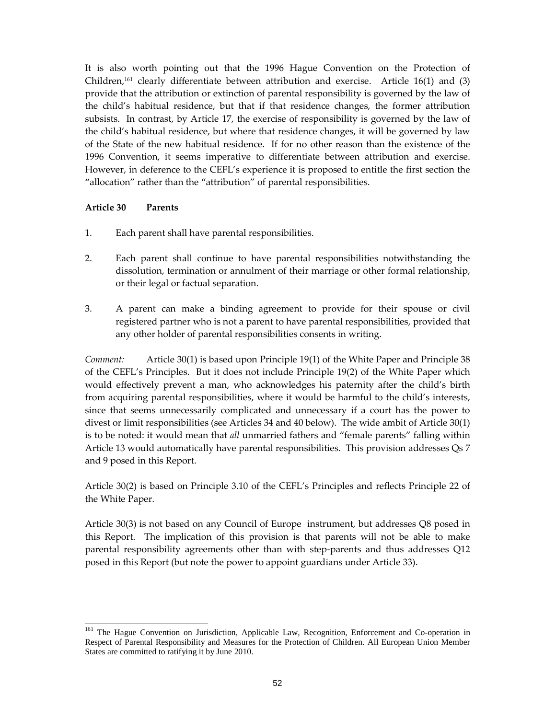It is also worth pointing out that the 1996 Hague Convention on the Protection of Children, $161$  clearly differentiate between attribution and exercise. Article 16(1) and (3) provide that the attribution or extinction of parental responsibility is governed by the law of the child's habitual residence, but that if that residence changes, the former attribution subsists. In contrast, by Article 17, the exercise of responsibility is governed by the law of the child's habitual residence, but where that residence changes, it will be governed by law of the State of the new habitual residence. If for no other reason than the existence of the 1996 Convention, it seems imperative to differentiate between attribution and exercise. However, in deference to the CEFL's experience it is proposed to entitle the first section the "allocation" rather than the "attribution" of parental responsibilities.

### Article 30 Parents

- 1. Each parent shall have parental responsibilities.
- 2. Each parent shall continue to have parental responsibilities notwithstanding the dissolution, termination or annulment of their marriage or other formal relationship, or their legal or factual separation.
- 3. A parent can make a binding agreement to provide for their spouse or civil registered partner who is not a parent to have parental responsibilities, provided that any other holder of parental responsibilities consents in writing.

Comment: Article 30(1) is based upon Principle 19(1) of the White Paper and Principle 38 of the CEFL's Principles. But it does not include Principle 19(2) of the White Paper which would effectively prevent a man, who acknowledges his paternity after the child's birth from acquiring parental responsibilities, where it would be harmful to the child's interests, since that seems unnecessarily complicated and unnecessary if a court has the power to divest or limit responsibilities (see Articles 34 and 40 below). The wide ambit of Article 30(1) is to be noted: it would mean that *all* unmarried fathers and "female parents" falling within Article 13 would automatically have parental responsibilities. This provision addresses Qs 7 and 9 posed in this Report.

Article 30(2) is based on Principle 3.10 of the CEFL's Principles and reflects Principle 22 of the White Paper.

Article 30(3) is not based on any Council of Europe instrument, but addresses Q8 posed in this Report. The implication of this provision is that parents will not be able to make parental responsibility agreements other than with step-parents and thus addresses Q12 posed in this Report (but note the power to appoint guardians under Article 33).

<sup>-</sup><sup>161</sup> The Hague Convention on Jurisdiction, Applicable Law, Recognition, Enforcement and Co-operation in Respect of Parental Responsibility and Measures for the Protection of Children. All European Union Member States are committed to ratifying it by June 2010.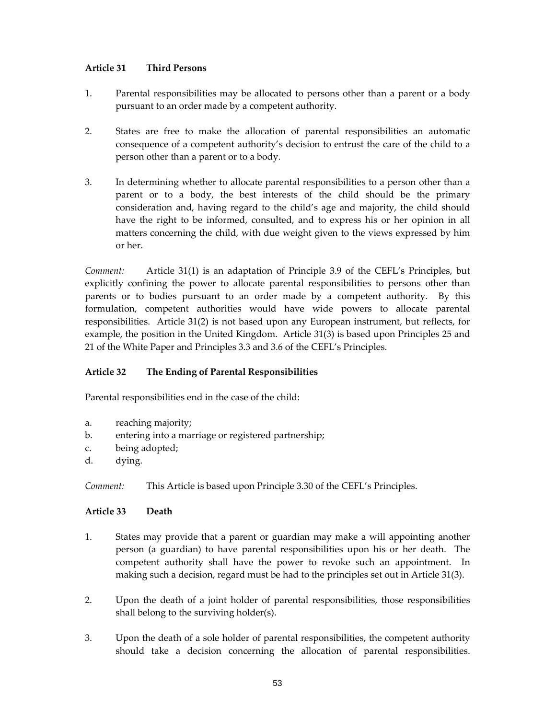## Article 31 Third Persons

- 1. Parental responsibilities may be allocated to persons other than a parent or a body pursuant to an order made by a competent authority.
- 2. States are free to make the allocation of parental responsibilities an automatic consequence of a competent authority's decision to entrust the care of the child to a person other than a parent or to a body.
- 3. In determining whether to allocate parental responsibilities to a person other than a parent or to a body, the best interests of the child should be the primary consideration and, having regard to the child's age and majority, the child should have the right to be informed, consulted, and to express his or her opinion in all matters concerning the child, with due weight given to the views expressed by him or her.

Comment: Article 31(1) is an adaptation of Principle 3.9 of the CEFL's Principles, but explicitly confining the power to allocate parental responsibilities to persons other than parents or to bodies pursuant to an order made by a competent authority. By this formulation, competent authorities would have wide powers to allocate parental responsibilities. Article 31(2) is not based upon any European instrument, but reflects, for example, the position in the United Kingdom. Article 31(3) is based upon Principles 25 and 21 of the White Paper and Principles 3.3 and 3.6 of the CEFL's Principles.

## Article 32 The Ending of Parental Responsibilities

Parental responsibilities end in the case of the child:

- a. reaching majority;
- b. entering into a marriage or registered partnership;
- c. being adopted;
- d. dying.

Comment: This Article is based upon Principle 3.30 of the CEFL's Principles.

### Article 33 Death

- 1. States may provide that a parent or guardian may make a will appointing another person (a guardian) to have parental responsibilities upon his or her death. The competent authority shall have the power to revoke such an appointment. In making such a decision, regard must be had to the principles set out in Article 31(3).
- 2. Upon the death of a joint holder of parental responsibilities, those responsibilities shall belong to the surviving holder(s).
- 3. Upon the death of a sole holder of parental responsibilities, the competent authority should take a decision concerning the allocation of parental responsibilities.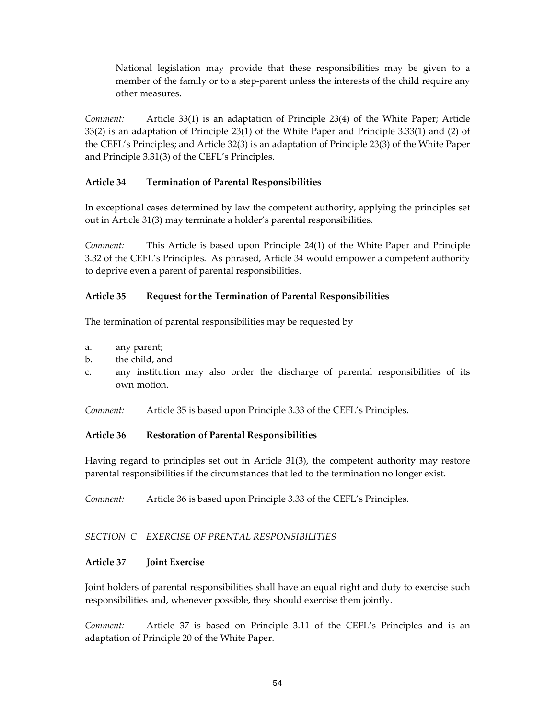National legislation may provide that these responsibilities may be given to a member of the family or to a step-parent unless the interests of the child require any other measures.

Comment: Article 33(1) is an adaptation of Principle 23(4) of the White Paper; Article 33(2) is an adaptation of Principle 23(1) of the White Paper and Principle 3.33(1) and (2) of the CEFL's Principles; and Article 32(3) is an adaptation of Principle 23(3) of the White Paper and Principle 3.31(3) of the CEFL's Principles.

### Article 34 Termination of Parental Responsibilities

In exceptional cases determined by law the competent authority, applying the principles set out in Article 31(3) may terminate a holder's parental responsibilities.

Comment: This Article is based upon Principle 24(1) of the White Paper and Principle 3.32 of the CEFL's Principles. As phrased, Article 34 would empower a competent authority to deprive even a parent of parental responsibilities.

## Article 35 Request for the Termination of Parental Responsibilities

The termination of parental responsibilities may be requested by

- a. any parent;
- b. the child, and
- c. any institution may also order the discharge of parental responsibilities of its own motion.
- Comment: Article 35 is based upon Principle 3.33 of the CEFL's Principles.

### Article 36 Restoration of Parental Responsibilities

Having regard to principles set out in Article 31(3), the competent authority may restore parental responsibilities if the circumstances that led to the termination no longer exist.

Comment: Article 36 is based upon Principle 3.33 of the CEFL's Principles.

### SECTION C EXERCISE OF PRENTAL RESPONSIBILITIES

### Article 37 Joint Exercise

Joint holders of parental responsibilities shall have an equal right and duty to exercise such responsibilities and, whenever possible, they should exercise them jointly.

Comment: Article 37 is based on Principle 3.11 of the CEFL's Principles and is an adaptation of Principle 20 of the White Paper.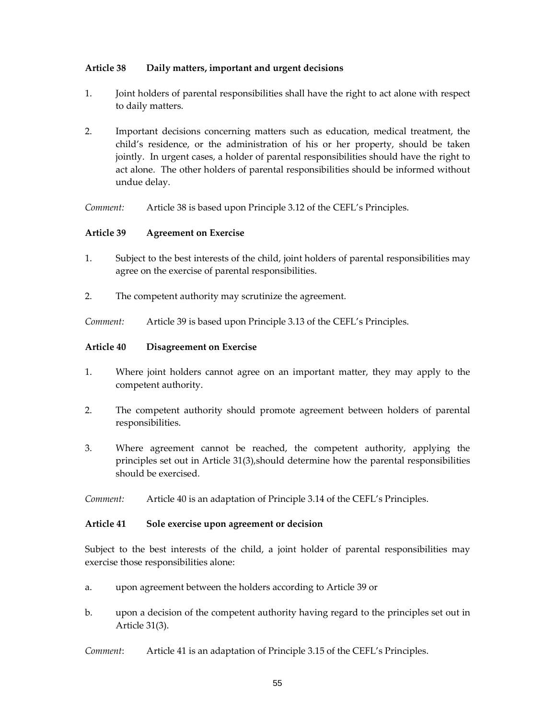## Article 38 Daily matters, important and urgent decisions

- 1. Joint holders of parental responsibilities shall have the right to act alone with respect to daily matters.
- 2. Important decisions concerning matters such as education, medical treatment, the child's residence, or the administration of his or her property, should be taken jointly. In urgent cases, a holder of parental responsibilities should have the right to act alone. The other holders of parental responsibilities should be informed without undue delay.

Comment: Article 38 is based upon Principle 3.12 of the CEFL's Principles.

## Article 39 Agreement on Exercise

- 1. Subject to the best interests of the child, joint holders of parental responsibilities may agree on the exercise of parental responsibilities.
- 2. The competent authority may scrutinize the agreement.

Comment: Article 39 is based upon Principle 3.13 of the CEFL's Principles.

## Article 40 Disagreement on Exercise

- 1. Where joint holders cannot agree on an important matter, they may apply to the competent authority.
- 2. The competent authority should promote agreement between holders of parental responsibilities.
- 3. Where agreement cannot be reached, the competent authority, applying the principles set out in Article 31(3),should determine how the parental responsibilities should be exercised.

Comment: Article 40 is an adaptation of Principle 3.14 of the CEFL's Principles.

### Article 41 Sole exercise upon agreement or decision

Subject to the best interests of the child, a joint holder of parental responsibilities may exercise those responsibilities alone:

- a. upon agreement between the holders according to Article 39 or
- b. upon a decision of the competent authority having regard to the principles set out in Article 31(3).

Comment: Article 41 is an adaptation of Principle 3.15 of the CEFL's Principles.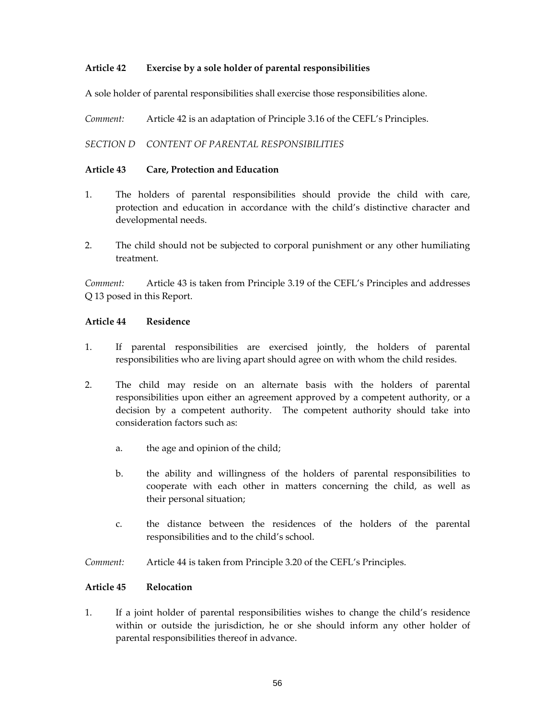## Article 42 Exercise by a sole holder of parental responsibilities

A sole holder of parental responsibilities shall exercise those responsibilities alone.

Comment: Article 42 is an adaptation of Principle 3.16 of the CEFL's Principles.

SECTION D CONTENT OF PARENTAL RESPONSIBILITIES

### Article 43 Care, Protection and Education

- 1. The holders of parental responsibilities should provide the child with care, protection and education in accordance with the child's distinctive character and developmental needs.
- 2. The child should not be subjected to corporal punishment or any other humiliating treatment.

Comment: Article 43 is taken from Principle 3.19 of the CEFL's Principles and addresses Q 13 posed in this Report.

### Article 44 Residence

- 1. If parental responsibilities are exercised jointly, the holders of parental responsibilities who are living apart should agree on with whom the child resides.
- 2. The child may reside on an alternate basis with the holders of parental responsibilities upon either an agreement approved by a competent authority, or a decision by a competent authority. The competent authority should take into consideration factors such as:
	- a. the age and opinion of the child;
	- b. the ability and willingness of the holders of parental responsibilities to cooperate with each other in matters concerning the child, as well as their personal situation;
	- c. the distance between the residences of the holders of the parental responsibilities and to the child's school.
- Comment: Article 44 is taken from Principle 3.20 of the CEFL's Principles.

### Article 45 Relocation

1. If a joint holder of parental responsibilities wishes to change the child's residence within or outside the jurisdiction, he or she should inform any other holder of parental responsibilities thereof in advance.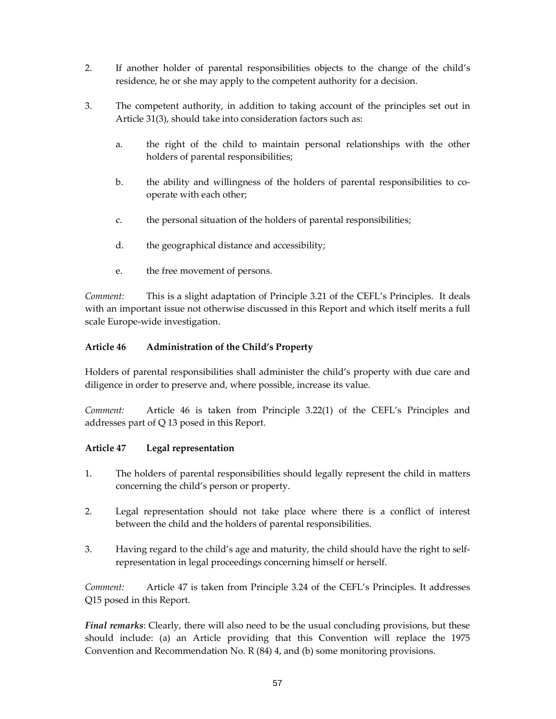- 2. If another holder of parental responsibilities objects to the change of the child's residence, he or she may apply to the competent authority for a decision.
- 3. The competent authority, in addition to taking account of the principles set out in Article 31(3), should take into consideration factors such as:
	- a. the right of the child to maintain personal relationships with the other holders of parental responsibilities;
	- b. the ability and willingness of the holders of parental responsibilities to cooperate with each other;
	- c. the personal situation of the holders of parental responsibilities;
	- d. the geographical distance and accessibility;
	- e. the free movement of persons.

Comment: This is a slight adaptation of Principle 3.21 of the CEFL's Principles. It deals with an important issue not otherwise discussed in this Report and which itself merits a full scale Europe-wide investigation.

## Article 46 Administration of the Child's Property

Holders of parental responsibilities shall administer the child's property with due care and diligence in order to preserve and, where possible, increase its value.

Comment: Article 46 is taken from Principle 3.22(1) of the CEFL's Principles and addresses part of Q 13 posed in this Report.

## Article 47 Legal representation

- 1. The holders of parental responsibilities should legally represent the child in matters concerning the child's person or property.
- 2. Legal representation should not take place where there is a conflict of interest between the child and the holders of parental responsibilities.
- 3. Having regard to the child's age and maturity, the child should have the right to selfrepresentation in legal proceedings concerning himself or herself.

Comment: Article 47 is taken from Principle 3.24 of the CEFL's Principles. It addresses Q15 posed in this Report.

Final remarks: Clearly, there will also need to be the usual concluding provisions, but these should include: (a) an Article providing that this Convention will replace the 1975 Convention and Recommendation No. R (84) 4, and (b) some monitoring provisions.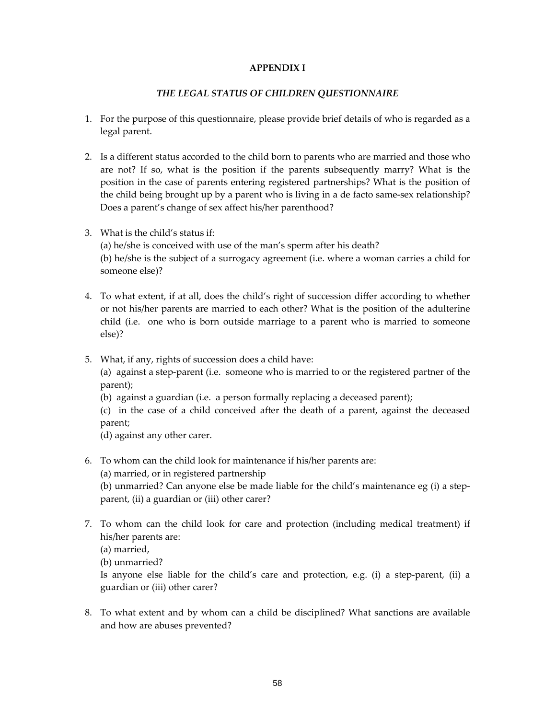### APPENDIX I

### THE LEGAL STATUS OF CHILDREN QUESTIONNAIRE

- 1. For the purpose of this questionnaire, please provide brief details of who is regarded as a legal parent.
- 2. Is a different status accorded to the child born to parents who are married and those who are not? If so, what is the position if the parents subsequently marry? What is the position in the case of parents entering registered partnerships? What is the position of the child being brought up by a parent who is living in a de facto same-sex relationship? Does a parent's change of sex affect his/her parenthood?
- 3. What is the child's status if: (a) he/she is conceived with use of the man's sperm after his death? (b) he/she is the subject of a surrogacy agreement (i.e. where a woman carries a child for someone else)?
- 4. To what extent, if at all, does the child's right of succession differ according to whether or not his/her parents are married to each other? What is the position of the adulterine child (i.e. one who is born outside marriage to a parent who is married to someone else)?
- 5. What, if any, rights of succession does a child have: (a) against a step-parent (i.e. someone who is married to or the registered partner of the parent);
	- (b) against a guardian (i.e. a person formally replacing a deceased parent);
	- (c) in the case of a child conceived after the death of a parent, against the deceased parent;
	- (d) against any other carer.
- 6. To whom can the child look for maintenance if his/her parents are:
	- (a) married, or in registered partnership

(b) unmarried? Can anyone else be made liable for the child's maintenance eg (i) a stepparent, (ii) a guardian or (iii) other carer?

- 7. To whom can the child look for care and protection (including medical treatment) if his/her parents are:
	- (a) married,

(b) unmarried?

Is anyone else liable for the child's care and protection, e.g. (i) a step-parent, (ii) a guardian or (iii) other carer?

8. To what extent and by whom can a child be disciplined? What sanctions are available and how are abuses prevented?